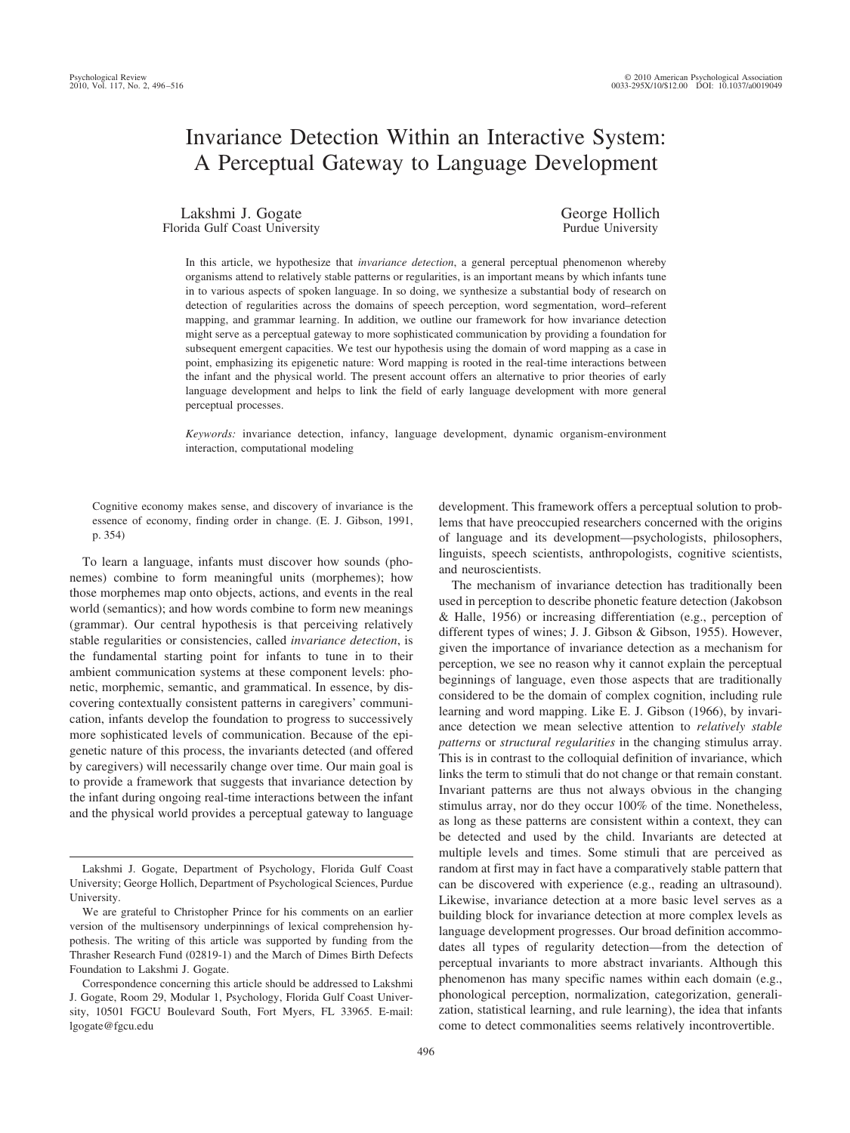# Invariance Detection Within an Interactive System: A Perceptual Gateway to Language Development

Lakshmi J. Gogate Florida Gulf Coast University George Hollich Purdue University

In this article, we hypothesize that *invariance detection*, a general perceptual phenomenon whereby organisms attend to relatively stable patterns or regularities, is an important means by which infants tune in to various aspects of spoken language. In so doing, we synthesize a substantial body of research on detection of regularities across the domains of speech perception, word segmentation, word–referent mapping, and grammar learning. In addition, we outline our framework for how invariance detection might serve as a perceptual gateway to more sophisticated communication by providing a foundation for subsequent emergent capacities. We test our hypothesis using the domain of word mapping as a case in point, emphasizing its epigenetic nature: Word mapping is rooted in the real-time interactions between the infant and the physical world. The present account offers an alternative to prior theories of early language development and helps to link the field of early language development with more general perceptual processes.

*Keywords:* invariance detection, infancy, language development, dynamic organism-environment interaction, computational modeling

Cognitive economy makes sense, and discovery of invariance is the essence of economy, finding order in change. (E. J. Gibson, 1991, p. 354)

To learn a language, infants must discover how sounds (phonemes) combine to form meaningful units (morphemes); how those morphemes map onto objects, actions, and events in the real world (semantics); and how words combine to form new meanings (grammar). Our central hypothesis is that perceiving relatively stable regularities or consistencies, called *invariance detection*, is the fundamental starting point for infants to tune in to their ambient communication systems at these component levels: phonetic, morphemic, semantic, and grammatical. In essence, by discovering contextually consistent patterns in caregivers' communication, infants develop the foundation to progress to successively more sophisticated levels of communication. Because of the epigenetic nature of this process, the invariants detected (and offered by caregivers) will necessarily change over time. Our main goal is to provide a framework that suggests that invariance detection by the infant during ongoing real-time interactions between the infant and the physical world provides a perceptual gateway to language development. This framework offers a perceptual solution to problems that have preoccupied researchers concerned with the origins of language and its development—psychologists, philosophers, linguists, speech scientists, anthropologists, cognitive scientists, and neuroscientists.

The mechanism of invariance detection has traditionally been used in perception to describe phonetic feature detection (Jakobson & Halle, 1956) or increasing differentiation (e.g., perception of different types of wines; J. J. Gibson & Gibson, 1955). However, given the importance of invariance detection as a mechanism for perception, we see no reason why it cannot explain the perceptual beginnings of language, even those aspects that are traditionally considered to be the domain of complex cognition, including rule learning and word mapping. Like E. J. Gibson (1966), by invariance detection we mean selective attention to *relatively stable patterns* or *structural regularities* in the changing stimulus array. This is in contrast to the colloquial definition of invariance, which links the term to stimuli that do not change or that remain constant. Invariant patterns are thus not always obvious in the changing stimulus array, nor do they occur 100% of the time. Nonetheless, as long as these patterns are consistent within a context, they can be detected and used by the child. Invariants are detected at multiple levels and times. Some stimuli that are perceived as random at first may in fact have a comparatively stable pattern that can be discovered with experience (e.g., reading an ultrasound). Likewise, invariance detection at a more basic level serves as a building block for invariance detection at more complex levels as language development progresses. Our broad definition accommodates all types of regularity detection—from the detection of perceptual invariants to more abstract invariants. Although this phenomenon has many specific names within each domain (e.g., phonological perception, normalization, categorization, generalization, statistical learning, and rule learning), the idea that infants come to detect commonalities seems relatively incontrovertible.

Lakshmi J. Gogate, Department of Psychology, Florida Gulf Coast University; George Hollich, Department of Psychological Sciences, Purdue **University** 

We are grateful to Christopher Prince for his comments on an earlier version of the multisensory underpinnings of lexical comprehension hypothesis. The writing of this article was supported by funding from the Thrasher Research Fund (02819-1) and the March of Dimes Birth Defects Foundation to Lakshmi J. Gogate.

Correspondence concerning this article should be addressed to Lakshmi J. Gogate, Room 29, Modular 1, Psychology, Florida Gulf Coast University, 10501 FGCU Boulevard South, Fort Myers, FL 33965. E-mail: lgogate@fgcu.edu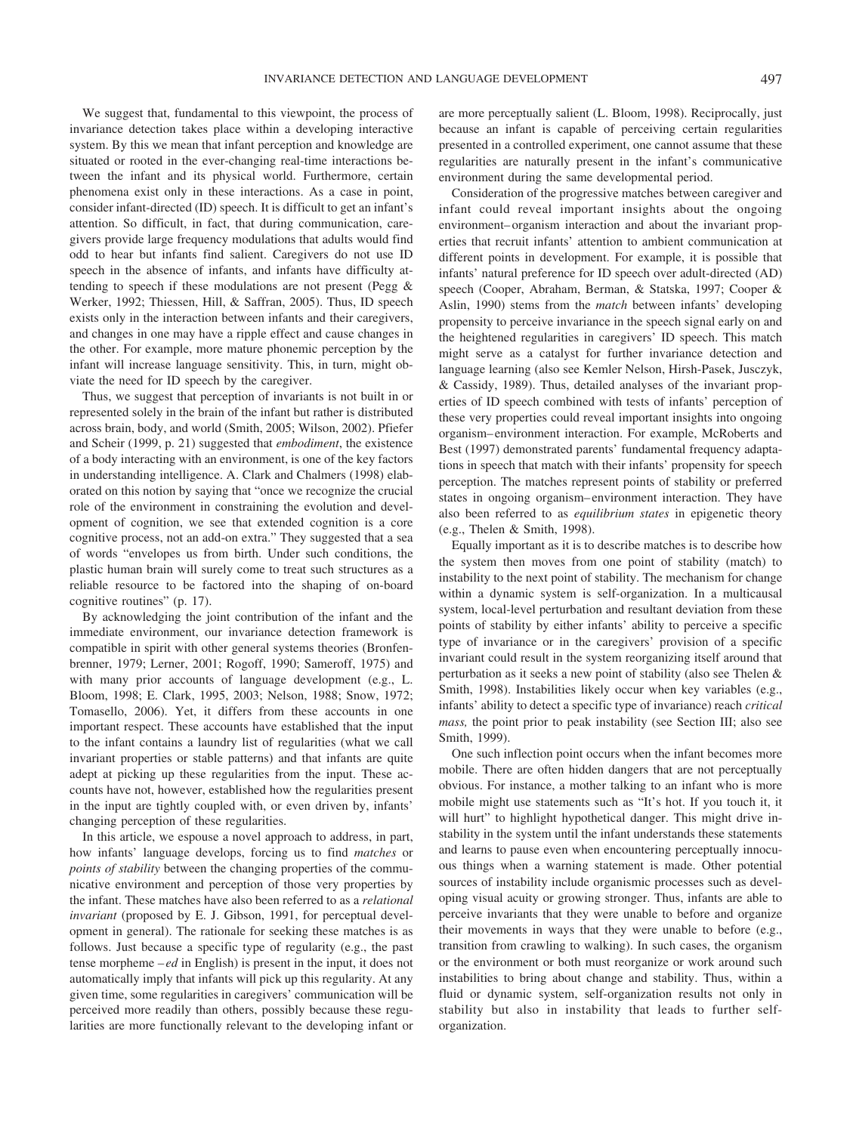We suggest that, fundamental to this viewpoint, the process of invariance detection takes place within a developing interactive system. By this we mean that infant perception and knowledge are situated or rooted in the ever-changing real-time interactions between the infant and its physical world. Furthermore, certain phenomena exist only in these interactions. As a case in point, consider infant-directed (ID) speech. It is difficult to get an infant's attention. So difficult, in fact, that during communication, caregivers provide large frequency modulations that adults would find odd to hear but infants find salient. Caregivers do not use ID speech in the absence of infants, and infants have difficulty attending to speech if these modulations are not present (Pegg & Werker, 1992; Thiessen, Hill, & Saffran, 2005). Thus, ID speech exists only in the interaction between infants and their caregivers, and changes in one may have a ripple effect and cause changes in the other. For example, more mature phonemic perception by the infant will increase language sensitivity. This, in turn, might obviate the need for ID speech by the caregiver.

Thus, we suggest that perception of invariants is not built in or represented solely in the brain of the infant but rather is distributed across brain, body, and world (Smith, 2005; Wilson, 2002). Pfiefer and Scheir (1999, p. 21) suggested that *embodiment*, the existence of a body interacting with an environment, is one of the key factors in understanding intelligence. A. Clark and Chalmers (1998) elaborated on this notion by saying that "once we recognize the crucial role of the environment in constraining the evolution and development of cognition, we see that extended cognition is a core cognitive process, not an add-on extra." They suggested that a sea of words "envelopes us from birth. Under such conditions, the plastic human brain will surely come to treat such structures as a reliable resource to be factored into the shaping of on-board cognitive routines" (p. 17).

By acknowledging the joint contribution of the infant and the immediate environment, our invariance detection framework is compatible in spirit with other general systems theories (Bronfenbrenner, 1979; Lerner, 2001; Rogoff, 1990; Sameroff, 1975) and with many prior accounts of language development (e.g., L. Bloom, 1998; E. Clark, 1995, 2003; Nelson, 1988; Snow, 1972; Tomasello, 2006). Yet, it differs from these accounts in one important respect. These accounts have established that the input to the infant contains a laundry list of regularities (what we call invariant properties or stable patterns) and that infants are quite adept at picking up these regularities from the input. These accounts have not, however, established how the regularities present in the input are tightly coupled with, or even driven by, infants' changing perception of these regularities.

In this article, we espouse a novel approach to address, in part, how infants' language develops, forcing us to find *matches* or *points of stability* between the changing properties of the communicative environment and perception of those very properties by the infant. These matches have also been referred to as a *relational invariant* (proposed by E. J. Gibson, 1991, for perceptual development in general). The rationale for seeking these matches is as follows. Just because a specific type of regularity (e.g., the past tense morpheme *– ed* in English) is present in the input, it does not automatically imply that infants will pick up this regularity. At any given time, some regularities in caregivers' communication will be perceived more readily than others, possibly because these regularities are more functionally relevant to the developing infant or are more perceptually salient (L. Bloom, 1998). Reciprocally, just because an infant is capable of perceiving certain regularities presented in a controlled experiment, one cannot assume that these regularities are naturally present in the infant's communicative environment during the same developmental period.

Consideration of the progressive matches between caregiver and infant could reveal important insights about the ongoing environment– organism interaction and about the invariant properties that recruit infants' attention to ambient communication at different points in development. For example, it is possible that infants' natural preference for ID speech over adult-directed (AD) speech (Cooper, Abraham, Berman, & Statska, 1997; Cooper & Aslin, 1990) stems from the *match* between infants' developing propensity to perceive invariance in the speech signal early on and the heightened regularities in caregivers' ID speech. This match might serve as a catalyst for further invariance detection and language learning (also see Kemler Nelson, Hirsh-Pasek, Jusczyk, & Cassidy, 1989). Thus, detailed analyses of the invariant properties of ID speech combined with tests of infants' perception of these very properties could reveal important insights into ongoing organism– environment interaction. For example, McRoberts and Best (1997) demonstrated parents' fundamental frequency adaptations in speech that match with their infants' propensity for speech perception. The matches represent points of stability or preferred states in ongoing organism– environment interaction. They have also been referred to as *equilibrium states* in epigenetic theory (e.g., Thelen & Smith, 1998).

Equally important as it is to describe matches is to describe how the system then moves from one point of stability (match) to instability to the next point of stability. The mechanism for change within a dynamic system is self-organization. In a multicausal system, local-level perturbation and resultant deviation from these points of stability by either infants' ability to perceive a specific type of invariance or in the caregivers' provision of a specific invariant could result in the system reorganizing itself around that perturbation as it seeks a new point of stability (also see Thelen & Smith, 1998). Instabilities likely occur when key variables (e.g., infants' ability to detect a specific type of invariance) reach *critical mass,* the point prior to peak instability (see Section III; also see Smith, 1999).

One such inflection point occurs when the infant becomes more mobile. There are often hidden dangers that are not perceptually obvious. For instance, a mother talking to an infant who is more mobile might use statements such as "It's hot. If you touch it, it will hurt" to highlight hypothetical danger. This might drive instability in the system until the infant understands these statements and learns to pause even when encountering perceptually innocuous things when a warning statement is made. Other potential sources of instability include organismic processes such as developing visual acuity or growing stronger. Thus, infants are able to perceive invariants that they were unable to before and organize their movements in ways that they were unable to before (e.g., transition from crawling to walking). In such cases, the organism or the environment or both must reorganize or work around such instabilities to bring about change and stability. Thus, within a fluid or dynamic system, self-organization results not only in stability but also in instability that leads to further selforganization.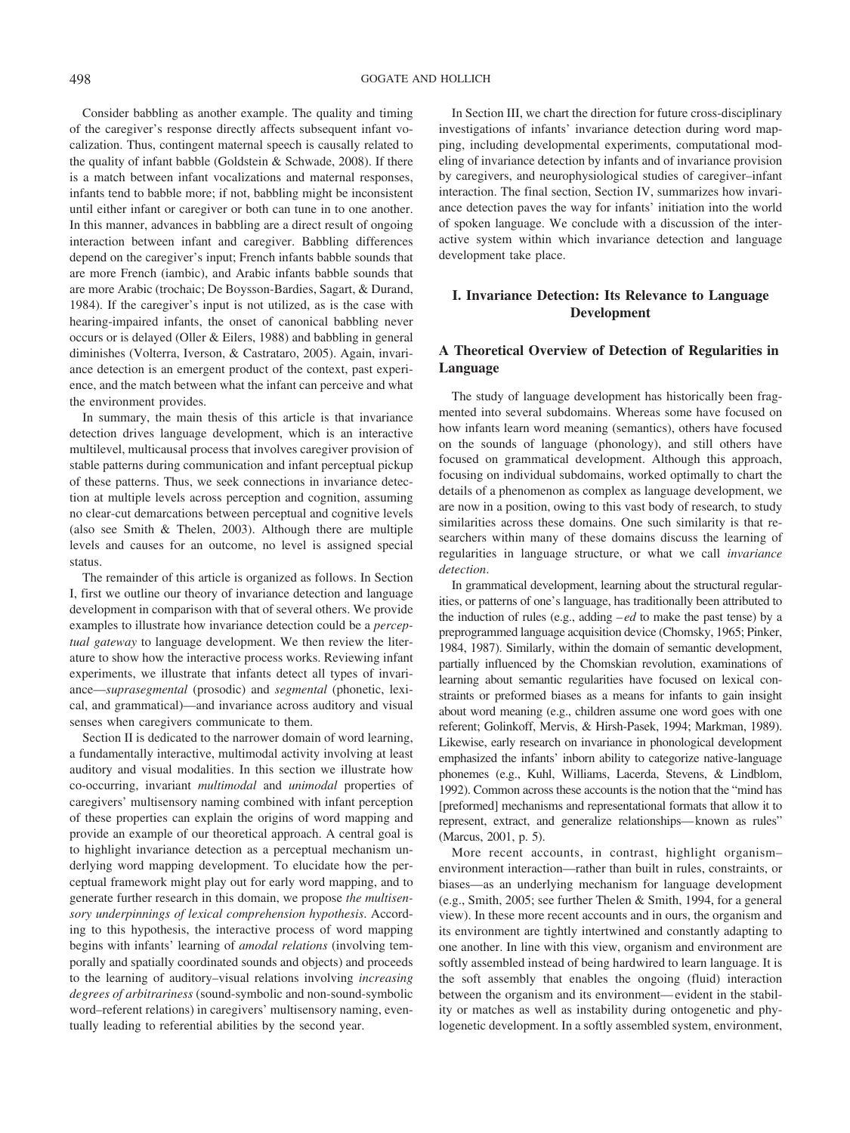Consider babbling as another example. The quality and timing of the caregiver's response directly affects subsequent infant vocalization. Thus, contingent maternal speech is causally related to the quality of infant babble (Goldstein & Schwade, 2008). If there is a match between infant vocalizations and maternal responses, infants tend to babble more; if not, babbling might be inconsistent until either infant or caregiver or both can tune in to one another. In this manner, advances in babbling are a direct result of ongoing interaction between infant and caregiver. Babbling differences depend on the caregiver's input; French infants babble sounds that are more French (iambic), and Arabic infants babble sounds that are more Arabic (trochaic; De Boysson-Bardies, Sagart, & Durand, 1984). If the caregiver's input is not utilized, as is the case with hearing-impaired infants, the onset of canonical babbling never occurs or is delayed (Oller & Eilers, 1988) and babbling in general diminishes (Volterra, Iverson, & Castrataro, 2005). Again, invariance detection is an emergent product of the context, past experience, and the match between what the infant can perceive and what the environment provides.

In summary, the main thesis of this article is that invariance detection drives language development, which is an interactive multilevel, multicausal process that involves caregiver provision of stable patterns during communication and infant perceptual pickup of these patterns. Thus, we seek connections in invariance detection at multiple levels across perception and cognition, assuming no clear-cut demarcations between perceptual and cognitive levels (also see Smith & Thelen, 2003). Although there are multiple levels and causes for an outcome, no level is assigned special status.

The remainder of this article is organized as follows. In Section I, first we outline our theory of invariance detection and language development in comparison with that of several others. We provide examples to illustrate how invariance detection could be a *perceptual gateway* to language development. We then review the literature to show how the interactive process works. Reviewing infant experiments, we illustrate that infants detect all types of invariance—*suprasegmental* (prosodic) and *segmental* (phonetic, lexical, and grammatical)—and invariance across auditory and visual senses when caregivers communicate to them.

Section II is dedicated to the narrower domain of word learning, a fundamentally interactive, multimodal activity involving at least auditory and visual modalities. In this section we illustrate how co-occurring, invariant *multimodal* and *unimodal* properties of caregivers' multisensory naming combined with infant perception of these properties can explain the origins of word mapping and provide an example of our theoretical approach. A central goal is to highlight invariance detection as a perceptual mechanism underlying word mapping development. To elucidate how the perceptual framework might play out for early word mapping, and to generate further research in this domain, we propose *the multisensory underpinnings of lexical comprehension hypothesis*. According to this hypothesis, the interactive process of word mapping begins with infants' learning of *amodal relations* (involving temporally and spatially coordinated sounds and objects) and proceeds to the learning of auditory–visual relations involving *increasing degrees of arbitrariness* (sound-symbolic and non-sound-symbolic word–referent relations) in caregivers' multisensory naming, eventually leading to referential abilities by the second year.

In Section III, we chart the direction for future cross-disciplinary investigations of infants' invariance detection during word mapping, including developmental experiments, computational modeling of invariance detection by infants and of invariance provision by caregivers, and neurophysiological studies of caregiver–infant interaction. The final section, Section IV, summarizes how invariance detection paves the way for infants' initiation into the world of spoken language. We conclude with a discussion of the interactive system within which invariance detection and language development take place.

# **I. Invariance Detection: Its Relevance to Language Development**

## **A Theoretical Overview of Detection of Regularities in Language**

The study of language development has historically been fragmented into several subdomains. Whereas some have focused on how infants learn word meaning (semantics), others have focused on the sounds of language (phonology), and still others have focused on grammatical development. Although this approach, focusing on individual subdomains, worked optimally to chart the details of a phenomenon as complex as language development, we are now in a position, owing to this vast body of research, to study similarities across these domains. One such similarity is that researchers within many of these domains discuss the learning of regularities in language structure, or what we call *invariance detection*.

In grammatical development, learning about the structural regularities, or patterns of one's language, has traditionally been attributed to the induction of rules (e.g., adding  $-e$ d to make the past tense) by a preprogrammed language acquisition device (Chomsky, 1965; Pinker, 1984, 1987). Similarly, within the domain of semantic development, partially influenced by the Chomskian revolution, examinations of learning about semantic regularities have focused on lexical constraints or preformed biases as a means for infants to gain insight about word meaning (e.g., children assume one word goes with one referent; Golinkoff, Mervis, & Hirsh-Pasek, 1994; Markman, 1989). Likewise, early research on invariance in phonological development emphasized the infants' inborn ability to categorize native-language phonemes (e.g., Kuhl, Williams, Lacerda, Stevens, & Lindblom, 1992). Common across these accounts is the notion that the "mind has [preformed] mechanisms and representational formats that allow it to represent, extract, and generalize relationships— known as rules" (Marcus, 2001, p. 5).

More recent accounts, in contrast, highlight organism– environment interaction—rather than built in rules, constraints, or biases—as an underlying mechanism for language development (e.g., Smith, 2005; see further Thelen & Smith, 1994, for a general view). In these more recent accounts and in ours, the organism and its environment are tightly intertwined and constantly adapting to one another. In line with this view, organism and environment are softly assembled instead of being hardwired to learn language. It is the soft assembly that enables the ongoing (fluid) interaction between the organism and its environment— evident in the stability or matches as well as instability during ontogenetic and phylogenetic development. In a softly assembled system, environment,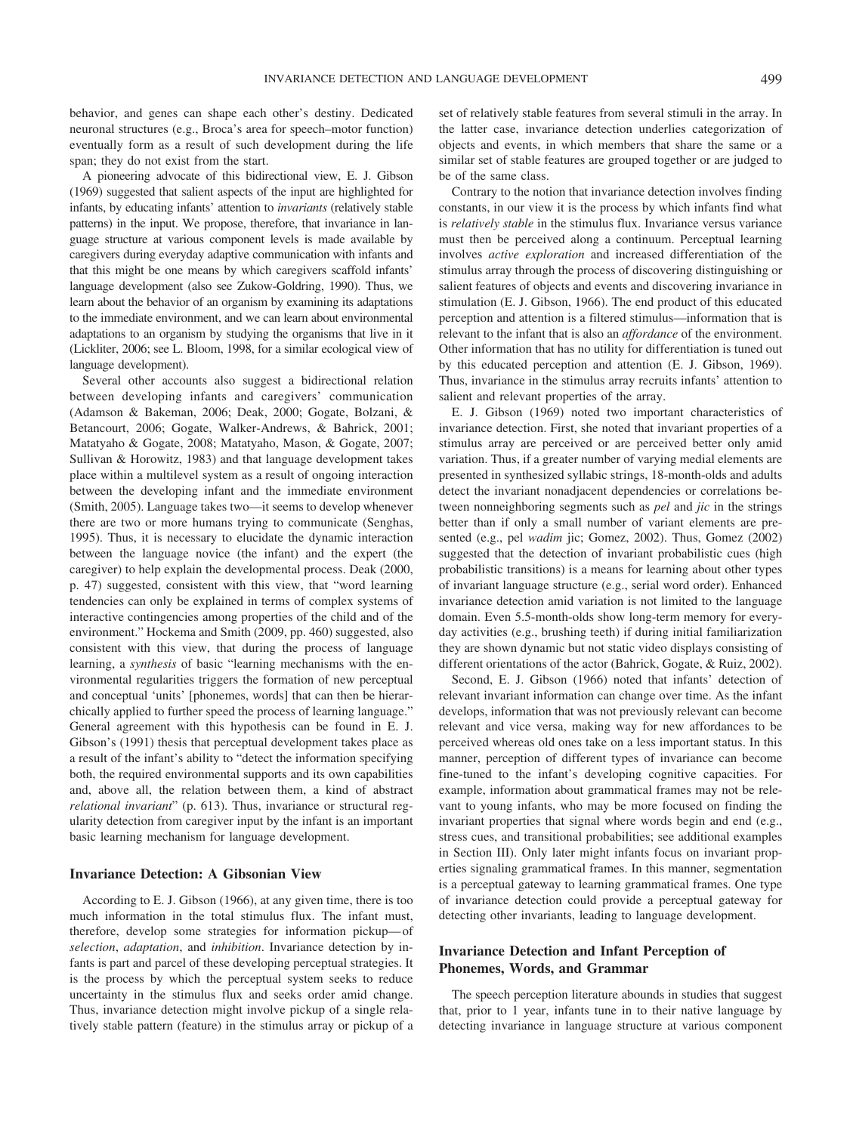behavior, and genes can shape each other's destiny. Dedicated neuronal structures (e.g., Broca's area for speech–motor function) eventually form as a result of such development during the life span; they do not exist from the start.

A pioneering advocate of this bidirectional view, E. J. Gibson (1969) suggested that salient aspects of the input are highlighted for infants, by educating infants' attention to *invariants* (relatively stable patterns) in the input. We propose, therefore, that invariance in language structure at various component levels is made available by caregivers during everyday adaptive communication with infants and that this might be one means by which caregivers scaffold infants' language development (also see Zukow-Goldring, 1990). Thus, we learn about the behavior of an organism by examining its adaptations to the immediate environment, and we can learn about environmental adaptations to an organism by studying the organisms that live in it (Lickliter, 2006; see L. Bloom, 1998, for a similar ecological view of language development).

Several other accounts also suggest a bidirectional relation between developing infants and caregivers' communication (Adamson & Bakeman, 2006; Deak, 2000; Gogate, Bolzani, & Betancourt, 2006; Gogate, Walker-Andrews, & Bahrick, 2001; Matatyaho & Gogate, 2008; Matatyaho, Mason, & Gogate, 2007; Sullivan & Horowitz, 1983) and that language development takes place within a multilevel system as a result of ongoing interaction between the developing infant and the immediate environment (Smith, 2005). Language takes two—it seems to develop whenever there are two or more humans trying to communicate (Senghas, 1995). Thus, it is necessary to elucidate the dynamic interaction between the language novice (the infant) and the expert (the caregiver) to help explain the developmental process. Deak (2000, p. 47) suggested, consistent with this view, that "word learning tendencies can only be explained in terms of complex systems of interactive contingencies among properties of the child and of the environment." Hockema and Smith (2009, pp. 460) suggested, also consistent with this view, that during the process of language learning, a *synthesis* of basic "learning mechanisms with the environmental regularities triggers the formation of new perceptual and conceptual 'units' [phonemes, words] that can then be hierarchically applied to further speed the process of learning language." General agreement with this hypothesis can be found in E. J. Gibson's (1991) thesis that perceptual development takes place as a result of the infant's ability to "detect the information specifying both, the required environmental supports and its own capabilities and, above all, the relation between them, a kind of abstract *relational invariant*" (p. 613). Thus, invariance or structural regularity detection from caregiver input by the infant is an important basic learning mechanism for language development.

## **Invariance Detection: A Gibsonian View**

According to E. J. Gibson (1966), at any given time, there is too much information in the total stimulus flux. The infant must, therefore, develop some strategies for information pickup— of *selection*, *adaptation*, and *inhibition*. Invariance detection by infants is part and parcel of these developing perceptual strategies. It is the process by which the perceptual system seeks to reduce uncertainty in the stimulus flux and seeks order amid change. Thus, invariance detection might involve pickup of a single relatively stable pattern (feature) in the stimulus array or pickup of a set of relatively stable features from several stimuli in the array. In the latter case, invariance detection underlies categorization of objects and events, in which members that share the same or a similar set of stable features are grouped together or are judged to be of the same class.

Contrary to the notion that invariance detection involves finding constants, in our view it is the process by which infants find what is *relatively stable* in the stimulus flux. Invariance versus variance must then be perceived along a continuum. Perceptual learning involves *active exploration* and increased differentiation of the stimulus array through the process of discovering distinguishing or salient features of objects and events and discovering invariance in stimulation (E. J. Gibson, 1966). The end product of this educated perception and attention is a filtered stimulus—information that is relevant to the infant that is also an *affordance* of the environment. Other information that has no utility for differentiation is tuned out by this educated perception and attention (E. J. Gibson, 1969). Thus, invariance in the stimulus array recruits infants' attention to salient and relevant properties of the array.

E. J. Gibson (1969) noted two important characteristics of invariance detection. First, she noted that invariant properties of a stimulus array are perceived or are perceived better only amid variation. Thus, if a greater number of varying medial elements are presented in synthesized syllabic strings, 18-month-olds and adults detect the invariant nonadjacent dependencies or correlations between nonneighboring segments such as *pel* and *jic* in the strings better than if only a small number of variant elements are presented (e.g., pel *wadim* jic; Gomez, 2002). Thus, Gomez (2002) suggested that the detection of invariant probabilistic cues (high probabilistic transitions) is a means for learning about other types of invariant language structure (e.g., serial word order). Enhanced invariance detection amid variation is not limited to the language domain. Even 5.5-month-olds show long-term memory for everyday activities (e.g., brushing teeth) if during initial familiarization they are shown dynamic but not static video displays consisting of different orientations of the actor (Bahrick, Gogate, & Ruiz, 2002).

Second, E. J. Gibson (1966) noted that infants' detection of relevant invariant information can change over time. As the infant develops, information that was not previously relevant can become relevant and vice versa, making way for new affordances to be perceived whereas old ones take on a less important status. In this manner, perception of different types of invariance can become fine-tuned to the infant's developing cognitive capacities. For example, information about grammatical frames may not be relevant to young infants, who may be more focused on finding the invariant properties that signal where words begin and end (e.g., stress cues, and transitional probabilities; see additional examples in Section III). Only later might infants focus on invariant properties signaling grammatical frames. In this manner, segmentation is a perceptual gateway to learning grammatical frames. One type of invariance detection could provide a perceptual gateway for detecting other invariants, leading to language development.

# **Invariance Detection and Infant Perception of Phonemes, Words, and Grammar**

The speech perception literature abounds in studies that suggest that, prior to 1 year, infants tune in to their native language by detecting invariance in language structure at various component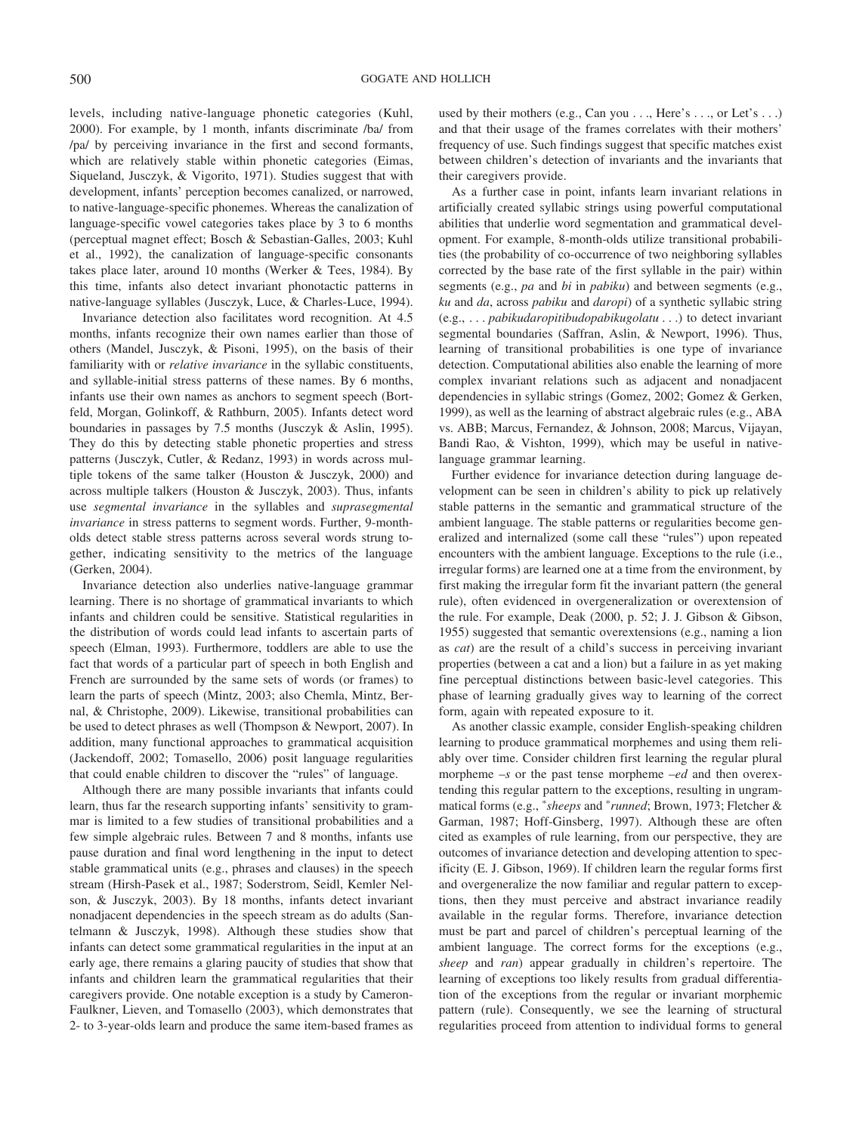levels, including native-language phonetic categories (Kuhl, 2000). For example, by 1 month, infants discriminate /ba/ from /pa/ by perceiving invariance in the first and second formants, which are relatively stable within phonetic categories (Eimas, Siqueland, Jusczyk, & Vigorito, 1971). Studies suggest that with development, infants' perception becomes canalized, or narrowed, to native-language-specific phonemes. Whereas the canalization of language-specific vowel categories takes place by 3 to 6 months (perceptual magnet effect; Bosch & Sebastian-Galles, 2003; Kuhl et al., 1992), the canalization of language-specific consonants takes place later, around 10 months (Werker & Tees, 1984). By this time, infants also detect invariant phonotactic patterns in native-language syllables (Jusczyk, Luce, & Charles-Luce, 1994).

Invariance detection also facilitates word recognition. At 4.5 months, infants recognize their own names earlier than those of others (Mandel, Jusczyk, & Pisoni, 1995), on the basis of their familiarity with or *relative invariance* in the syllabic constituents, and syllable-initial stress patterns of these names. By 6 months, infants use their own names as anchors to segment speech (Bortfeld, Morgan, Golinkoff, & Rathburn, 2005). Infants detect word boundaries in passages by 7.5 months (Jusczyk & Aslin, 1995). They do this by detecting stable phonetic properties and stress patterns (Jusczyk, Cutler, & Redanz, 1993) in words across multiple tokens of the same talker (Houston & Jusczyk, 2000) and across multiple talkers (Houston & Jusczyk, 2003). Thus, infants use *segmental invariance* in the syllables and *suprasegmental invariance* in stress patterns to segment words. Further, 9-montholds detect stable stress patterns across several words strung together, indicating sensitivity to the metrics of the language (Gerken, 2004).

Invariance detection also underlies native-language grammar learning. There is no shortage of grammatical invariants to which infants and children could be sensitive. Statistical regularities in the distribution of words could lead infants to ascertain parts of speech (Elman, 1993). Furthermore, toddlers are able to use the fact that words of a particular part of speech in both English and French are surrounded by the same sets of words (or frames) to learn the parts of speech (Mintz, 2003; also Chemla, Mintz, Bernal, & Christophe, 2009). Likewise, transitional probabilities can be used to detect phrases as well (Thompson & Newport, 2007). In addition, many functional approaches to grammatical acquisition (Jackendoff, 2002; Tomasello, 2006) posit language regularities that could enable children to discover the "rules" of language.

Although there are many possible invariants that infants could learn, thus far the research supporting infants' sensitivity to grammar is limited to a few studies of transitional probabilities and a few simple algebraic rules. Between 7 and 8 months, infants use pause duration and final word lengthening in the input to detect stable grammatical units (e.g., phrases and clauses) in the speech stream (Hirsh-Pasek et al., 1987; Soderstrom, Seidl, Kemler Nelson, & Jusczyk, 2003). By 18 months, infants detect invariant nonadjacent dependencies in the speech stream as do adults (Santelmann & Jusczyk, 1998). Although these studies show that infants can detect some grammatical regularities in the input at an early age, there remains a glaring paucity of studies that show that infants and children learn the grammatical regularities that their caregivers provide. One notable exception is a study by Cameron-Faulkner, Lieven, and Tomasello (2003), which demonstrates that 2- to 3-year-olds learn and produce the same item-based frames as used by their mothers (e.g., Can you  $\dots$ , Here's  $\dots$ , or Let's  $\dots$ ) and that their usage of the frames correlates with their mothers' frequency of use. Such findings suggest that specific matches exist between children's detection of invariants and the invariants that their caregivers provide.

As a further case in point, infants learn invariant relations in artificially created syllabic strings using powerful computational abilities that underlie word segmentation and grammatical development. For example, 8-month-olds utilize transitional probabilities (the probability of co-occurrence of two neighboring syllables corrected by the base rate of the first syllable in the pair) within segments (e.g., *pa* and *bi* in *pabiku*) and between segments (e.g., *ku* and *da*, across *pabiku* and *daropi*) of a synthetic syllabic string (e.g., . . . *pabikudaropitibudopabikugolatu* . . .) to detect invariant segmental boundaries (Saffran, Aslin, & Newport, 1996). Thus, learning of transitional probabilities is one type of invariance detection. Computational abilities also enable the learning of more complex invariant relations such as adjacent and nonadjacent dependencies in syllabic strings (Gomez, 2002; Gomez & Gerken, 1999), as well as the learning of abstract algebraic rules (e.g., ABA vs. ABB; Marcus, Fernandez, & Johnson, 2008; Marcus, Vijayan, Bandi Rao, & Vishton, 1999), which may be useful in nativelanguage grammar learning.

Further evidence for invariance detection during language development can be seen in children's ability to pick up relatively stable patterns in the semantic and grammatical structure of the ambient language. The stable patterns or regularities become generalized and internalized (some call these "rules") upon repeated encounters with the ambient language. Exceptions to the rule (i.e., irregular forms) are learned one at a time from the environment, by first making the irregular form fit the invariant pattern (the general rule), often evidenced in overgeneralization or overextension of the rule. For example, Deak (2000, p. 52; J. J. Gibson & Gibson, 1955) suggested that semantic overextensions (e.g., naming a lion as *cat*) are the result of a child's success in perceiving invariant properties (between a cat and a lion) but a failure in as yet making fine perceptual distinctions between basic-level categories. This phase of learning gradually gives way to learning of the correct form, again with repeated exposure to it.

As another classic example, consider English-speaking children learning to produce grammatical morphemes and using them reliably over time. Consider children first learning the regular plural morpheme –*s* or the past tense morpheme –*ed* and then overextending this regular pattern to the exceptions, resulting in ungrammatical forms (e.g., *sheeps* and *runned*; Brown, 1973; Fletcher & Garman, 1987; Hoff-Ginsberg, 1997). Although these are often cited as examples of rule learning, from our perspective, they are outcomes of invariance detection and developing attention to specificity (E. J. Gibson, 1969). If children learn the regular forms first and overgeneralize the now familiar and regular pattern to exceptions, then they must perceive and abstract invariance readily available in the regular forms. Therefore, invariance detection must be part and parcel of children's perceptual learning of the ambient language. The correct forms for the exceptions (e.g., *sheep* and *ran*) appear gradually in children's repertoire. The learning of exceptions too likely results from gradual differentiation of the exceptions from the regular or invariant morphemic pattern (rule). Consequently, we see the learning of structural regularities proceed from attention to individual forms to general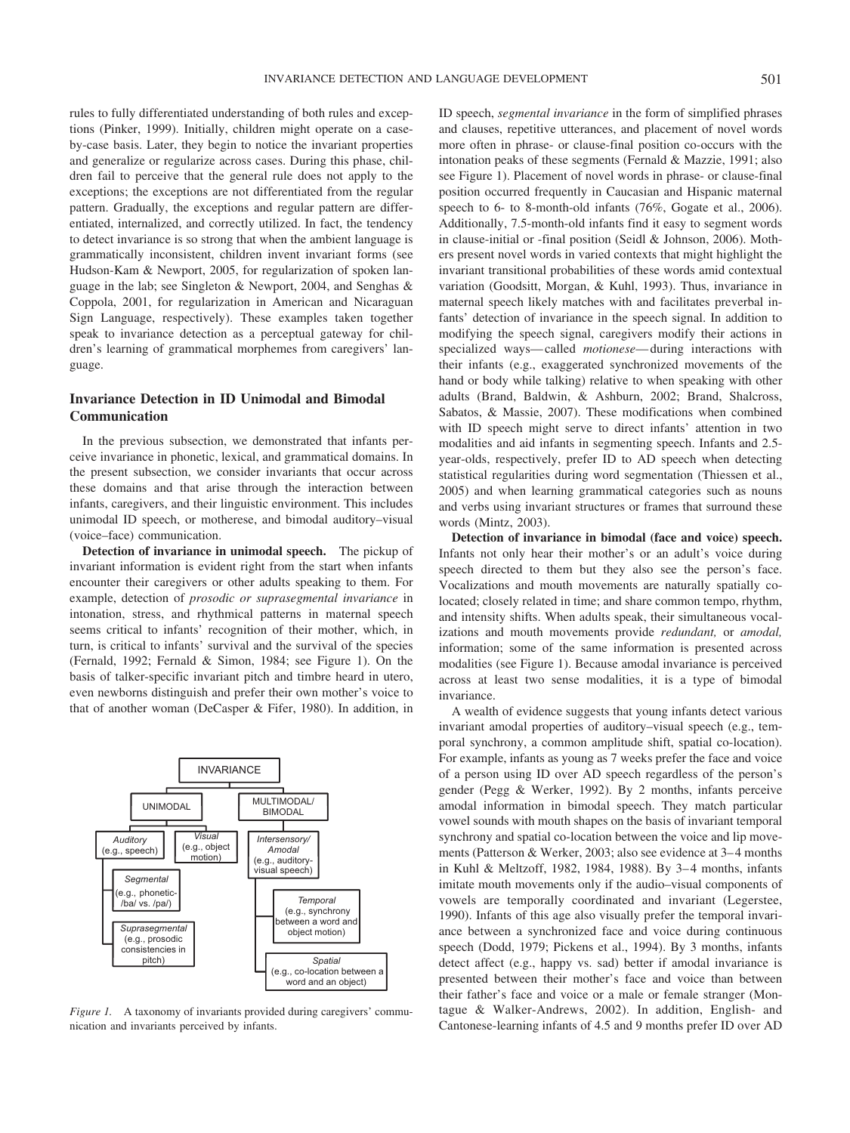rules to fully differentiated understanding of both rules and exceptions (Pinker, 1999). Initially, children might operate on a caseby-case basis. Later, they begin to notice the invariant properties and generalize or regularize across cases. During this phase, children fail to perceive that the general rule does not apply to the exceptions; the exceptions are not differentiated from the regular pattern. Gradually, the exceptions and regular pattern are differentiated, internalized, and correctly utilized. In fact, the tendency to detect invariance is so strong that when the ambient language is grammatically inconsistent, children invent invariant forms (see Hudson-Kam & Newport, 2005, for regularization of spoken language in the lab; see Singleton & Newport, 2004, and Senghas & Coppola, 2001, for regularization in American and Nicaraguan Sign Language, respectively). These examples taken together speak to invariance detection as a perceptual gateway for children's learning of grammatical morphemes from caregivers' language.

# **Invariance Detection in ID Unimodal and Bimodal Communication**

In the previous subsection, we demonstrated that infants perceive invariance in phonetic, lexical, and grammatical domains. In the present subsection, we consider invariants that occur across these domains and that arise through the interaction between infants, caregivers, and their linguistic environment. This includes unimodal ID speech, or motherese, and bimodal auditory–visual (voice–face) communication.

**Detection of invariance in unimodal speech.** The pickup of invariant information is evident right from the start when infants encounter their caregivers or other adults speaking to them. For example, detection of *prosodic or suprasegmental invariance* in intonation, stress, and rhythmical patterns in maternal speech seems critical to infants' recognition of their mother, which, in turn, is critical to infants' survival and the survival of the species (Fernald, 1992; Fernald & Simon, 1984; see Figure 1). On the basis of talker-specific invariant pitch and timbre heard in utero, even newborns distinguish and prefer their own mother's voice to that of another woman (DeCasper & Fifer, 1980). In addition, in



*Figure 1.* A taxonomy of invariants provided during caregivers' communication and invariants perceived by infants.

ID speech, *segmental invariance* in the form of simplified phrases and clauses, repetitive utterances, and placement of novel words more often in phrase- or clause-final position co-occurs with the intonation peaks of these segments (Fernald & Mazzie, 1991; also see Figure 1). Placement of novel words in phrase- or clause-final position occurred frequently in Caucasian and Hispanic maternal speech to 6- to 8-month-old infants (76%, Gogate et al., 2006). Additionally, 7.5-month-old infants find it easy to segment words in clause-initial or -final position (Seidl & Johnson, 2006). Mothers present novel words in varied contexts that might highlight the invariant transitional probabilities of these words amid contextual variation (Goodsitt, Morgan, & Kuhl, 1993). Thus, invariance in maternal speech likely matches with and facilitates preverbal infants' detection of invariance in the speech signal. In addition to modifying the speech signal, caregivers modify their actions in specialized ways— called *motionese*— during interactions with their infants (e.g., exaggerated synchronized movements of the hand or body while talking) relative to when speaking with other adults (Brand, Baldwin, & Ashburn, 2002; Brand, Shalcross, Sabatos, & Massie, 2007). These modifications when combined with ID speech might serve to direct infants' attention in two modalities and aid infants in segmenting speech. Infants and 2.5 year-olds, respectively, prefer ID to AD speech when detecting statistical regularities during word segmentation (Thiessen et al., 2005) and when learning grammatical categories such as nouns and verbs using invariant structures or frames that surround these words (Mintz, 2003).

**Detection of invariance in bimodal (face and voice) speech.** Infants not only hear their mother's or an adult's voice during speech directed to them but they also see the person's face. Vocalizations and mouth movements are naturally spatially colocated; closely related in time; and share common tempo, rhythm, and intensity shifts. When adults speak, their simultaneous vocalizations and mouth movements provide *redundant,* or *amodal,* information; some of the same information is presented across modalities (see Figure 1). Because amodal invariance is perceived across at least two sense modalities, it is a type of bimodal invariance.

A wealth of evidence suggests that young infants detect various invariant amodal properties of auditory–visual speech (e.g., temporal synchrony, a common amplitude shift, spatial co-location). For example, infants as young as 7 weeks prefer the face and voice of a person using ID over AD speech regardless of the person's gender (Pegg & Werker, 1992). By 2 months, infants perceive amodal information in bimodal speech. They match particular vowel sounds with mouth shapes on the basis of invariant temporal synchrony and spatial co-location between the voice and lip movements (Patterson & Werker, 2003; also see evidence at 3– 4 months in Kuhl & Meltzoff, 1982, 1984, 1988). By 3-4 months, infants imitate mouth movements only if the audio–visual components of vowels are temporally coordinated and invariant (Legerstee, 1990). Infants of this age also visually prefer the temporal invariance between a synchronized face and voice during continuous speech (Dodd, 1979; Pickens et al., 1994). By 3 months, infants detect affect (e.g., happy vs. sad) better if amodal invariance is presented between their mother's face and voice than between their father's face and voice or a male or female stranger (Montague & Walker-Andrews, 2002). In addition, English- and Cantonese-learning infants of 4.5 and 9 months prefer ID over AD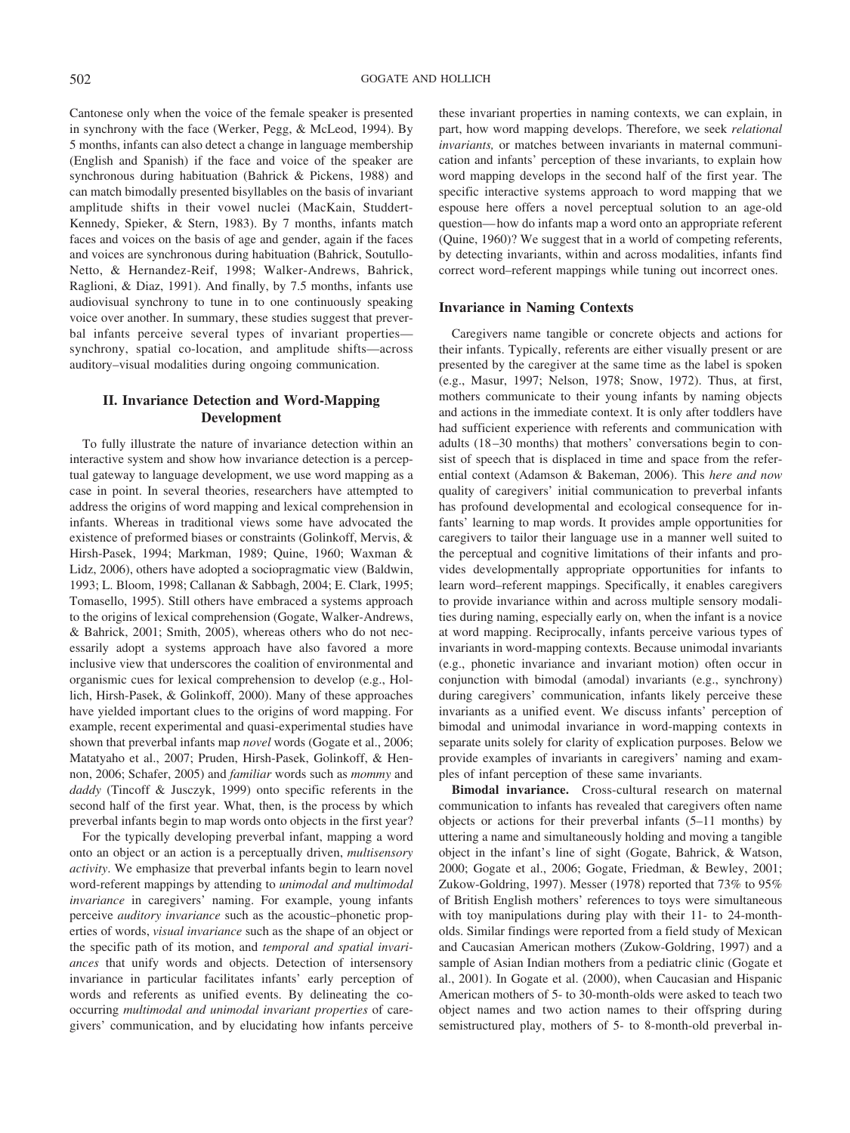Cantonese only when the voice of the female speaker is presented in synchrony with the face (Werker, Pegg, & McLeod, 1994). By 5 months, infants can also detect a change in language membership (English and Spanish) if the face and voice of the speaker are synchronous during habituation (Bahrick & Pickens, 1988) and can match bimodally presented bisyllables on the basis of invariant amplitude shifts in their vowel nuclei (MacKain, Studdert-Kennedy, Spieker, & Stern, 1983). By 7 months, infants match faces and voices on the basis of age and gender, again if the faces and voices are synchronous during habituation (Bahrick, Soutullo-Netto, & Hernandez-Reif, 1998; Walker-Andrews, Bahrick, Raglioni, & Diaz, 1991). And finally, by 7.5 months, infants use audiovisual synchrony to tune in to one continuously speaking voice over another. In summary, these studies suggest that preverbal infants perceive several types of invariant properties synchrony, spatial co-location, and amplitude shifts—across auditory–visual modalities during ongoing communication.

# **II. Invariance Detection and Word-Mapping Development**

To fully illustrate the nature of invariance detection within an interactive system and show how invariance detection is a perceptual gateway to language development, we use word mapping as a case in point. In several theories, researchers have attempted to address the origins of word mapping and lexical comprehension in infants. Whereas in traditional views some have advocated the existence of preformed biases or constraints (Golinkoff, Mervis, & Hirsh-Pasek, 1994; Markman, 1989; Quine, 1960; Waxman & Lidz, 2006), others have adopted a sociopragmatic view (Baldwin, 1993; L. Bloom, 1998; Callanan & Sabbagh, 2004; E. Clark, 1995; Tomasello, 1995). Still others have embraced a systems approach to the origins of lexical comprehension (Gogate, Walker-Andrews, & Bahrick, 2001; Smith, 2005), whereas others who do not necessarily adopt a systems approach have also favored a more inclusive view that underscores the coalition of environmental and organismic cues for lexical comprehension to develop (e.g., Hollich, Hirsh-Pasek, & Golinkoff, 2000). Many of these approaches have yielded important clues to the origins of word mapping. For example, recent experimental and quasi-experimental studies have shown that preverbal infants map *novel* words (Gogate et al., 2006; Matatyaho et al., 2007; Pruden, Hirsh-Pasek, Golinkoff, & Hennon, 2006; Schafer, 2005) and *familiar* words such as *mommy* and *daddy* (Tincoff & Jusczyk, 1999) onto specific referents in the second half of the first year. What, then, is the process by which preverbal infants begin to map words onto objects in the first year?

For the typically developing preverbal infant, mapping a word onto an object or an action is a perceptually driven, *multisensory activity*. We emphasize that preverbal infants begin to learn novel word-referent mappings by attending to *unimodal and multimodal invariance* in caregivers' naming. For example, young infants perceive *auditory invariance* such as the acoustic–phonetic properties of words, *visual invariance* such as the shape of an object or the specific path of its motion, and *temporal and spatial invariances* that unify words and objects. Detection of intersensory invariance in particular facilitates infants' early perception of words and referents as unified events. By delineating the cooccurring *multimodal and unimodal invariant properties* of caregivers' communication, and by elucidating how infants perceive these invariant properties in naming contexts, we can explain, in part, how word mapping develops. Therefore, we seek *relational invariants,* or matches between invariants in maternal communication and infants' perception of these invariants, to explain how word mapping develops in the second half of the first year. The specific interactive systems approach to word mapping that we espouse here offers a novel perceptual solution to an age-old question— how do infants map a word onto an appropriate referent (Quine, 1960)? We suggest that in a world of competing referents, by detecting invariants, within and across modalities, infants find correct word–referent mappings while tuning out incorrect ones.

## **Invariance in Naming Contexts**

Caregivers name tangible or concrete objects and actions for their infants. Typically, referents are either visually present or are presented by the caregiver at the same time as the label is spoken (e.g., Masur, 1997; Nelson, 1978; Snow, 1972). Thus, at first, mothers communicate to their young infants by naming objects and actions in the immediate context. It is only after toddlers have had sufficient experience with referents and communication with adults (18 –30 months) that mothers' conversations begin to consist of speech that is displaced in time and space from the referential context (Adamson & Bakeman, 2006). This *here and now* quality of caregivers' initial communication to preverbal infants has profound developmental and ecological consequence for infants' learning to map words. It provides ample opportunities for caregivers to tailor their language use in a manner well suited to the perceptual and cognitive limitations of their infants and provides developmentally appropriate opportunities for infants to learn word–referent mappings. Specifically, it enables caregivers to provide invariance within and across multiple sensory modalities during naming, especially early on, when the infant is a novice at word mapping. Reciprocally, infants perceive various types of invariants in word-mapping contexts. Because unimodal invariants (e.g., phonetic invariance and invariant motion) often occur in conjunction with bimodal (amodal) invariants (e.g., synchrony) during caregivers' communication, infants likely perceive these invariants as a unified event. We discuss infants' perception of bimodal and unimodal invariance in word-mapping contexts in separate units solely for clarity of explication purposes. Below we provide examples of invariants in caregivers' naming and examples of infant perception of these same invariants.

**Bimodal invariance.** Cross-cultural research on maternal communication to infants has revealed that caregivers often name objects or actions for their preverbal infants (5–11 months) by uttering a name and simultaneously holding and moving a tangible object in the infant's line of sight (Gogate, Bahrick, & Watson, 2000; Gogate et al., 2006; Gogate, Friedman, & Bewley, 2001; Zukow-Goldring, 1997). Messer (1978) reported that 73% to 95% of British English mothers' references to toys were simultaneous with toy manipulations during play with their 11- to 24-montholds. Similar findings were reported from a field study of Mexican and Caucasian American mothers (Zukow-Goldring, 1997) and a sample of Asian Indian mothers from a pediatric clinic (Gogate et al., 2001). In Gogate et al. (2000), when Caucasian and Hispanic American mothers of 5- to 30-month-olds were asked to teach two object names and two action names to their offspring during semistructured play, mothers of 5- to 8-month-old preverbal in-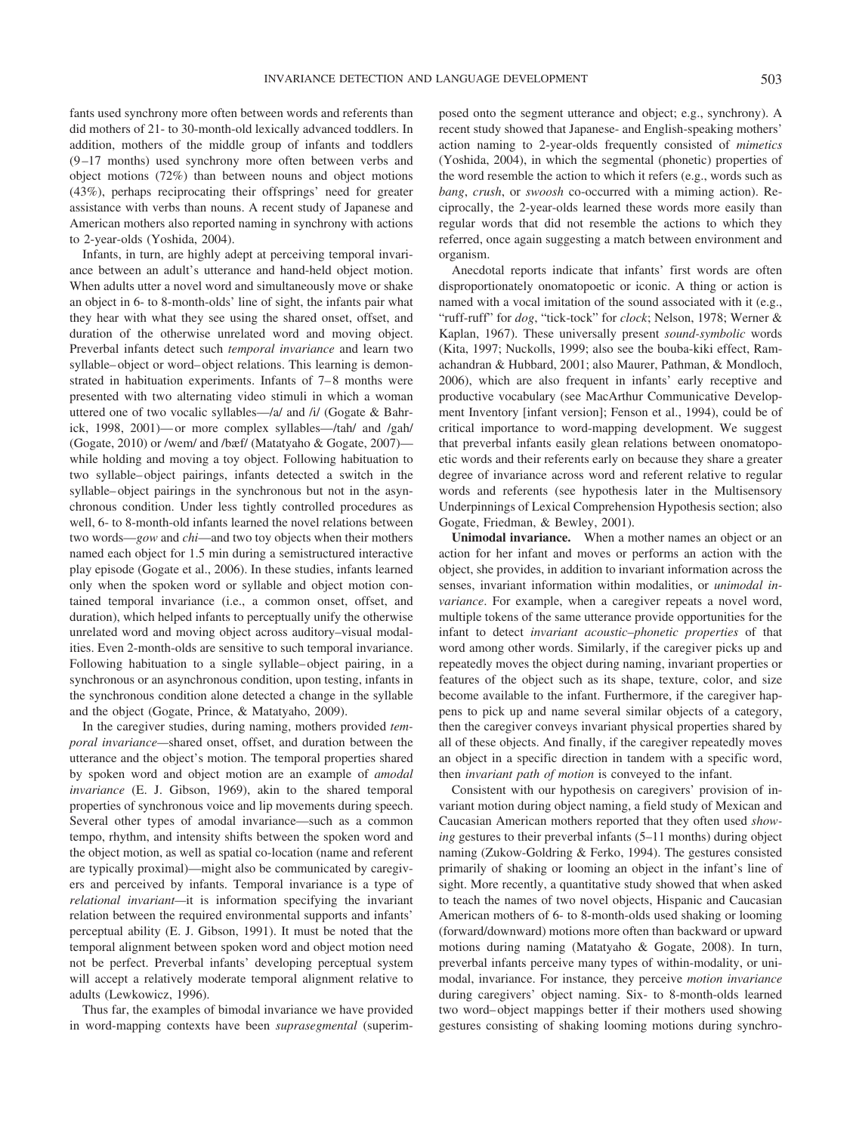fants used synchrony more often between words and referents than did mothers of 21- to 30-month-old lexically advanced toddlers. In addition, mothers of the middle group of infants and toddlers (9 –17 months) used synchrony more often between verbs and object motions (72%) than between nouns and object motions (43%), perhaps reciprocating their offsprings' need for greater assistance with verbs than nouns. A recent study of Japanese and American mothers also reported naming in synchrony with actions to 2-year-olds (Yoshida, 2004).

Infants, in turn, are highly adept at perceiving temporal invariance between an adult's utterance and hand-held object motion. When adults utter a novel word and simultaneously move or shake an object in 6- to 8-month-olds' line of sight, the infants pair what they hear with what they see using the shared onset, offset, and duration of the otherwise unrelated word and moving object. Preverbal infants detect such *temporal invariance* and learn two syllable– object or word– object relations. This learning is demonstrated in habituation experiments. Infants of 7– 8 months were presented with two alternating video stimuli in which a woman uttered one of two vocalic syllables—/a/ and /i/ (Gogate & Bahrick, 1998, 2001)— or more complex syllables—/tah/ and /gah/ (Gogate, 2010) or /wem/ and /bæf/ (Matatyaho & Gogate, 2007) while holding and moving a toy object. Following habituation to two syllable– object pairings, infants detected a switch in the syllable– object pairings in the synchronous but not in the asynchronous condition. Under less tightly controlled procedures as well, 6- to 8-month-old infants learned the novel relations between two words—*gow* and *chi*—and two toy objects when their mothers named each object for 1.5 min during a semistructured interactive play episode (Gogate et al., 2006). In these studies, infants learned only when the spoken word or syllable and object motion contained temporal invariance (i.e., a common onset, offset, and duration), which helped infants to perceptually unify the otherwise unrelated word and moving object across auditory–visual modalities. Even 2-month-olds are sensitive to such temporal invariance. Following habituation to a single syllable– object pairing, in a synchronous or an asynchronous condition, upon testing, infants in the synchronous condition alone detected a change in the syllable and the object (Gogate, Prince, & Matatyaho, 2009).

In the caregiver studies, during naming, mothers provided *temporal invariance—*shared onset, offset, and duration between the utterance and the object's motion. The temporal properties shared by spoken word and object motion are an example of *amodal invariance* (E. J. Gibson, 1969), akin to the shared temporal properties of synchronous voice and lip movements during speech. Several other types of amodal invariance—such as a common tempo, rhythm, and intensity shifts between the spoken word and the object motion, as well as spatial co-location (name and referent are typically proximal)—might also be communicated by caregivers and perceived by infants. Temporal invariance is a type of *relational invariant—*it is information specifying the invariant relation between the required environmental supports and infants' perceptual ability (E. J. Gibson, 1991). It must be noted that the temporal alignment between spoken word and object motion need not be perfect. Preverbal infants' developing perceptual system will accept a relatively moderate temporal alignment relative to adults (Lewkowicz, 1996).

Thus far, the examples of bimodal invariance we have provided in word-mapping contexts have been *suprasegmental* (superimposed onto the segment utterance and object; e.g., synchrony). A recent study showed that Japanese- and English-speaking mothers' action naming to 2-year-olds frequently consisted of *mimetics* (Yoshida, 2004), in which the segmental (phonetic) properties of the word resemble the action to which it refers (e.g., words such as *bang*, *crush*, or *swoosh* co-occurred with a miming action). Reciprocally, the 2-year-olds learned these words more easily than regular words that did not resemble the actions to which they referred, once again suggesting a match between environment and organism.

Anecdotal reports indicate that infants' first words are often disproportionately onomatopoetic or iconic. A thing or action is named with a vocal imitation of the sound associated with it (e.g., "ruff-ruff" for *dog*, "tick-tock" for *clock*; Nelson, 1978; Werner & Kaplan, 1967). These universally present *sound-symbolic* words (Kita, 1997; Nuckolls, 1999; also see the bouba-kiki effect, Ramachandran & Hubbard, 2001; also Maurer, Pathman, & Mondloch, 2006), which are also frequent in infants' early receptive and productive vocabulary (see MacArthur Communicative Development Inventory [infant version]; Fenson et al., 1994), could be of critical importance to word-mapping development. We suggest that preverbal infants easily glean relations between onomatopoetic words and their referents early on because they share a greater degree of invariance across word and referent relative to regular words and referents (see hypothesis later in the Multisensory Underpinnings of Lexical Comprehension Hypothesis section; also Gogate, Friedman, & Bewley, 2001).

**Unimodal invariance.** When a mother names an object or an action for her infant and moves or performs an action with the object, she provides, in addition to invariant information across the senses, invariant information within modalities, or *unimodal invariance*. For example, when a caregiver repeats a novel word, multiple tokens of the same utterance provide opportunities for the infant to detect *invariant acoustic–phonetic properties* of that word among other words. Similarly, if the caregiver picks up and repeatedly moves the object during naming, invariant properties or features of the object such as its shape, texture, color, and size become available to the infant. Furthermore, if the caregiver happens to pick up and name several similar objects of a category, then the caregiver conveys invariant physical properties shared by all of these objects. And finally, if the caregiver repeatedly moves an object in a specific direction in tandem with a specific word, then *invariant path of motion* is conveyed to the infant.

Consistent with our hypothesis on caregivers' provision of invariant motion during object naming, a field study of Mexican and Caucasian American mothers reported that they often used *showing* gestures to their preverbal infants (5–11 months) during object naming (Zukow-Goldring & Ferko, 1994). The gestures consisted primarily of shaking or looming an object in the infant's line of sight. More recently, a quantitative study showed that when asked to teach the names of two novel objects, Hispanic and Caucasian American mothers of 6- to 8-month-olds used shaking or looming (forward/downward) motions more often than backward or upward motions during naming (Matatyaho & Gogate, 2008). In turn, preverbal infants perceive many types of within-modality, or unimodal, invariance. For instance*,* they perceive *motion invariance* during caregivers' object naming. Six- to 8-month-olds learned two word– object mappings better if their mothers used showing gestures consisting of shaking looming motions during synchro-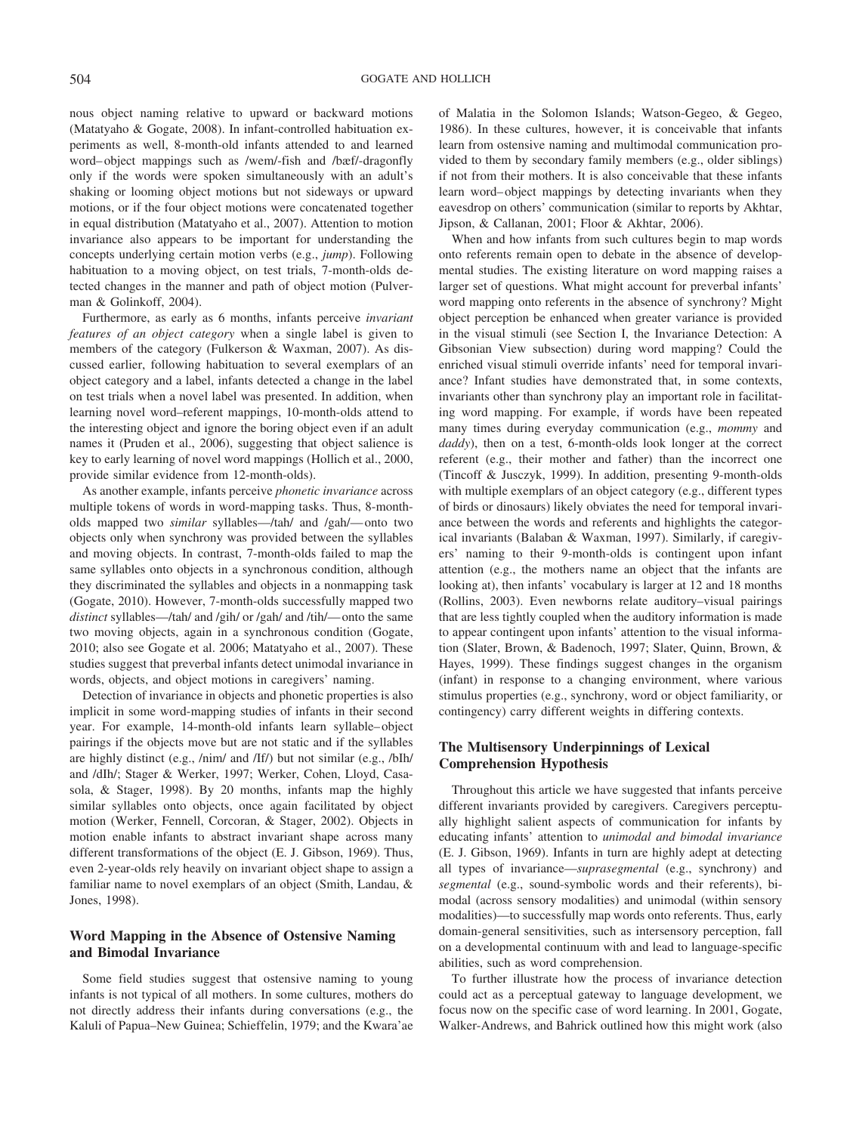nous object naming relative to upward or backward motions (Matatyaho & Gogate, 2008). In infant-controlled habituation experiments as well, 8-month-old infants attended to and learned word– object mappings such as /wem/-fish and /bæf/-dragonfly only if the words were spoken simultaneously with an adult's shaking or looming object motions but not sideways or upward motions, or if the four object motions were concatenated together in equal distribution (Matatyaho et al., 2007). Attention to motion invariance also appears to be important for understanding the concepts underlying certain motion verbs (e.g., *jump*). Following habituation to a moving object, on test trials, 7-month-olds detected changes in the manner and path of object motion (Pulverman & Golinkoff, 2004).

Furthermore, as early as 6 months, infants perceive *invariant features of an object category* when a single label is given to members of the category (Fulkerson & Waxman, 2007). As discussed earlier, following habituation to several exemplars of an object category and a label, infants detected a change in the label on test trials when a novel label was presented. In addition, when learning novel word–referent mappings, 10-month-olds attend to the interesting object and ignore the boring object even if an adult names it (Pruden et al., 2006), suggesting that object salience is key to early learning of novel word mappings (Hollich et al., 2000, provide similar evidence from 12-month-olds).

As another example, infants perceive *phonetic invariance* across multiple tokens of words in word-mapping tasks. Thus, 8-montholds mapped two *similar* syllables—/tah/ and /gah/— onto two objects only when synchrony was provided between the syllables and moving objects. In contrast, 7-month-olds failed to map the same syllables onto objects in a synchronous condition, although they discriminated the syllables and objects in a nonmapping task (Gogate, 2010). However, 7-month-olds successfully mapped two *distinct* syllables—/tah/ and /gih/ or /gah/ and /tih/— onto the same two moving objects, again in a synchronous condition (Gogate, 2010; also see Gogate et al. 2006; Matatyaho et al., 2007). These studies suggest that preverbal infants detect unimodal invariance in words, objects, and object motions in caregivers' naming.

Detection of invariance in objects and phonetic properties is also implicit in some word-mapping studies of infants in their second year. For example, 14-month-old infants learn syllable– object pairings if the objects move but are not static and if the syllables are highly distinct (e.g., /nim/ and /If/) but not similar (e.g., /bIh/ and /dIh/; Stager & Werker, 1997; Werker, Cohen, Lloyd, Casasola, & Stager, 1998). By 20 months, infants map the highly similar syllables onto objects, once again facilitated by object motion (Werker, Fennell, Corcoran, & Stager, 2002). Objects in motion enable infants to abstract invariant shape across many different transformations of the object (E. J. Gibson, 1969). Thus, even 2-year-olds rely heavily on invariant object shape to assign a familiar name to novel exemplars of an object (Smith, Landau, & Jones, 1998).

# **Word Mapping in the Absence of Ostensive Naming and Bimodal Invariance**

Some field studies suggest that ostensive naming to young infants is not typical of all mothers. In some cultures, mothers do not directly address their infants during conversations (e.g., the Kaluli of Papua–New Guinea; Schieffelin, 1979; and the Kwara'ae of Malatia in the Solomon Islands; Watson-Gegeo, & Gegeo, 1986). In these cultures, however, it is conceivable that infants learn from ostensive naming and multimodal communication provided to them by secondary family members (e.g., older siblings) if not from their mothers. It is also conceivable that these infants learn word– object mappings by detecting invariants when they eavesdrop on others' communication (similar to reports by Akhtar, Jipson, & Callanan, 2001; Floor & Akhtar, 2006).

When and how infants from such cultures begin to map words onto referents remain open to debate in the absence of developmental studies. The existing literature on word mapping raises a larger set of questions. What might account for preverbal infants' word mapping onto referents in the absence of synchrony? Might object perception be enhanced when greater variance is provided in the visual stimuli (see Section I, the Invariance Detection: A Gibsonian View subsection) during word mapping? Could the enriched visual stimuli override infants' need for temporal invariance? Infant studies have demonstrated that, in some contexts, invariants other than synchrony play an important role in facilitating word mapping. For example, if words have been repeated many times during everyday communication (e.g., *mommy* and *daddy*), then on a test, 6-month-olds look longer at the correct referent (e.g., their mother and father) than the incorrect one (Tincoff & Jusczyk, 1999). In addition, presenting 9-month-olds with multiple exemplars of an object category (e.g., different types of birds or dinosaurs) likely obviates the need for temporal invariance between the words and referents and highlights the categorical invariants (Balaban & Waxman, 1997). Similarly, if caregivers' naming to their 9-month-olds is contingent upon infant attention (e.g., the mothers name an object that the infants are looking at), then infants' vocabulary is larger at 12 and 18 months (Rollins, 2003). Even newborns relate auditory–visual pairings that are less tightly coupled when the auditory information is made to appear contingent upon infants' attention to the visual information (Slater, Brown, & Badenoch, 1997; Slater, Quinn, Brown, & Hayes, 1999). These findings suggest changes in the organism (infant) in response to a changing environment, where various stimulus properties (e.g., synchrony, word or object familiarity, or contingency) carry different weights in differing contexts.

# **The Multisensory Underpinnings of Lexical Comprehension Hypothesis**

Throughout this article we have suggested that infants perceive different invariants provided by caregivers. Caregivers perceptually highlight salient aspects of communication for infants by educating infants' attention to *unimodal and bimodal invariance* (E. J. Gibson, 1969). Infants in turn are highly adept at detecting all types of invariance—*suprasegmental* (e.g., synchrony) and *segmental* (e.g., sound-symbolic words and their referents), bimodal (across sensory modalities) and unimodal (within sensory modalities)—to successfully map words onto referents. Thus, early domain-general sensitivities, such as intersensory perception, fall on a developmental continuum with and lead to language-specific abilities, such as word comprehension.

To further illustrate how the process of invariance detection could act as a perceptual gateway to language development, we focus now on the specific case of word learning. In 2001, Gogate, Walker-Andrews, and Bahrick outlined how this might work (also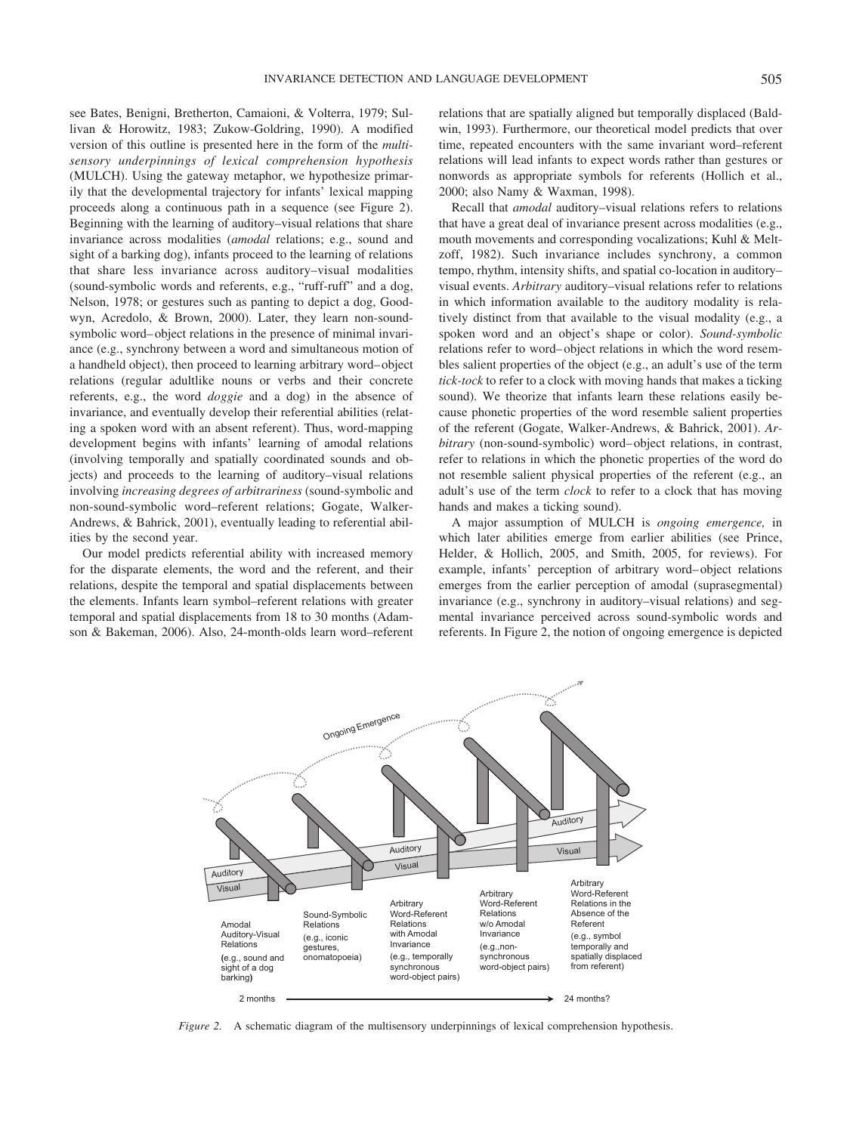see Bates, Benigni, Bretherton, Camaioni, & Volterra, 1979; Sullivan & Horowitz, 1983; Zukow-Goldring, 1990). A modified version of this outline is presented here in the form of the *multisensory underpinnings of lexical comprehension hypothesis* (MULCH). Using the gateway metaphor, we hypothesize primarily that the developmental trajectory for infants' lexical mapping proceeds along a continuous path in a sequence (see Figure 2). Beginning with the learning of auditory–visual relations that share invariance across modalities (*amodal* relations; e.g., sound and sight of a barking dog), infants proceed to the learning of relations that share less invariance across auditory–visual modalities (sound-symbolic words and referents, e.g., "ruff-ruff" and a dog, Nelson, 1978; or gestures such as panting to depict a dog, Goodwyn, Acredolo, & Brown, 2000). Later, they learn non-soundsymbolic word– object relations in the presence of minimal invariance (e.g., synchrony between a word and simultaneous motion of a handheld object), then proceed to learning arbitrary word– object relations (regular adultlike nouns or verbs and their concrete referents, e.g., the word *doggie* and a dog) in the absence of invariance, and eventually develop their referential abilities (relating a spoken word with an absent referent). Thus, word-mapping development begins with infants' learning of amodal relations (involving temporally and spatially coordinated sounds and objects) and proceeds to the learning of auditory–visual relations involving *increasing degrees of arbitrariness* (sound-symbolic and non-sound-symbolic word–referent relations; Gogate, Walker-Andrews, & Bahrick, 2001), eventually leading to referential abilities by the second year.

Our model predicts referential ability with increased memory for the disparate elements, the word and the referent, and their relations, despite the temporal and spatial displacements between the elements. Infants learn symbol–referent relations with greater temporal and spatial displacements from 18 to 30 months (Adamson & Bakeman, 2006). Also, 24-month-olds learn word–referent relations that are spatially aligned but temporally displaced (Baldwin, 1993). Furthermore, our theoretical model predicts that over time, repeated encounters with the same invariant word–referent relations will lead infants to expect words rather than gestures or nonwords as appropriate symbols for referents (Hollich et al., 2000; also Namy & Waxman, 1998).

Recall that *amodal* auditory–visual relations refers to relations that have a great deal of invariance present across modalities (e.g., mouth movements and corresponding vocalizations; Kuhl & Meltzoff, 1982). Such invariance includes synchrony, a common tempo, rhythm, intensity shifts, and spatial co-location in auditory– visual events. *Arbitrary* auditory–visual relations refer to relations in which information available to the auditory modality is relatively distinct from that available to the visual modality (e.g., a spoken word and an object's shape or color). *Sound-symbolic* relations refer to word– object relations in which the word resembles salient properties of the object (e.g., an adult's use of the term *tick-tock* to refer to a clock with moving hands that makes a ticking sound). We theorize that infants learn these relations easily because phonetic properties of the word resemble salient properties of the referent (Gogate, Walker-Andrews, & Bahrick, 2001). *Arbitrary* (non-sound-symbolic) word– object relations, in contrast, refer to relations in which the phonetic properties of the word do not resemble salient physical properties of the referent (e.g., an adult's use of the term *clock* to refer to a clock that has moving hands and makes a ticking sound).

A major assumption of MULCH is *ongoing emergence,* in which later abilities emerge from earlier abilities (see Prince, Helder, & Hollich, 2005, and Smith, 2005, for reviews). For example, infants' perception of arbitrary word– object relations emerges from the earlier perception of amodal (suprasegmental) invariance (e.g., synchrony in auditory–visual relations) and segmental invariance perceived across sound-symbolic words and referents. In Figure 2, the notion of ongoing emergence is depicted



*Figure 2.* A schematic diagram of the multisensory underpinnings of lexical comprehension hypothesis.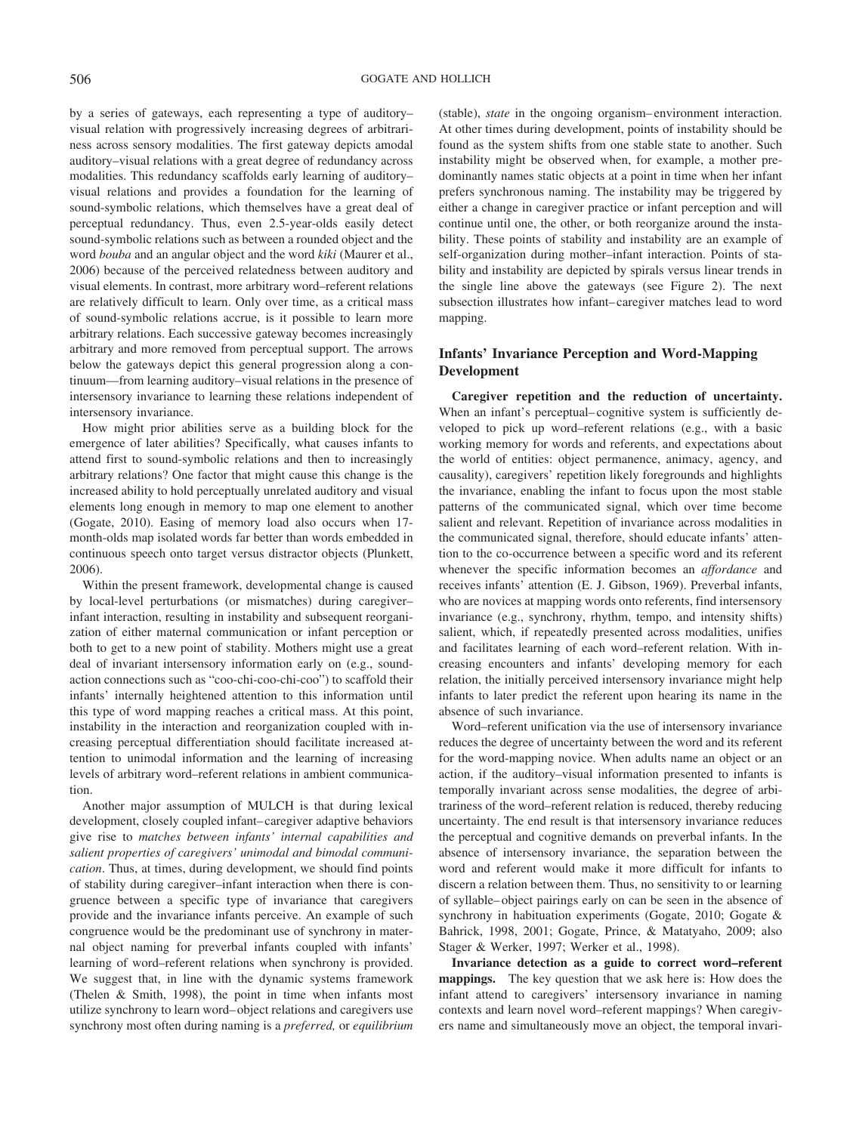by a series of gateways, each representing a type of auditory– visual relation with progressively increasing degrees of arbitrariness across sensory modalities. The first gateway depicts amodal auditory–visual relations with a great degree of redundancy across modalities. This redundancy scaffolds early learning of auditory– visual relations and provides a foundation for the learning of sound-symbolic relations, which themselves have a great deal of perceptual redundancy. Thus, even 2.5-year-olds easily detect sound-symbolic relations such as between a rounded object and the word *bouba* and an angular object and the word *kiki* (Maurer et al., 2006) because of the perceived relatedness between auditory and visual elements. In contrast, more arbitrary word–referent relations are relatively difficult to learn. Only over time, as a critical mass of sound-symbolic relations accrue, is it possible to learn more arbitrary relations. Each successive gateway becomes increasingly arbitrary and more removed from perceptual support. The arrows below the gateways depict this general progression along a continuum—from learning auditory–visual relations in the presence of intersensory invariance to learning these relations independent of intersensory invariance.

How might prior abilities serve as a building block for the emergence of later abilities? Specifically, what causes infants to attend first to sound-symbolic relations and then to increasingly arbitrary relations? One factor that might cause this change is the increased ability to hold perceptually unrelated auditory and visual elements long enough in memory to map one element to another (Gogate, 2010). Easing of memory load also occurs when 17 month-olds map isolated words far better than words embedded in continuous speech onto target versus distractor objects (Plunkett, 2006).

Within the present framework, developmental change is caused by local-level perturbations (or mismatches) during caregiver– infant interaction, resulting in instability and subsequent reorganization of either maternal communication or infant perception or both to get to a new point of stability. Mothers might use a great deal of invariant intersensory information early on (e.g., soundaction connections such as "coo-chi-coo-chi-coo") to scaffold their infants' internally heightened attention to this information until this type of word mapping reaches a critical mass. At this point, instability in the interaction and reorganization coupled with increasing perceptual differentiation should facilitate increased attention to unimodal information and the learning of increasing levels of arbitrary word–referent relations in ambient communication.

Another major assumption of MULCH is that during lexical development, closely coupled infant– caregiver adaptive behaviors give rise to *matches between infants' internal capabilities and salient properties of caregivers' unimodal and bimodal communication*. Thus, at times, during development, we should find points of stability during caregiver–infant interaction when there is congruence between a specific type of invariance that caregivers provide and the invariance infants perceive. An example of such congruence would be the predominant use of synchrony in maternal object naming for preverbal infants coupled with infants' learning of word–referent relations when synchrony is provided. We suggest that, in line with the dynamic systems framework (Thelen & Smith, 1998), the point in time when infants most utilize synchrony to learn word– object relations and caregivers use synchrony most often during naming is a *preferred,* or *equilibrium* (stable), *state* in the ongoing organism– environment interaction. At other times during development, points of instability should be found as the system shifts from one stable state to another. Such instability might be observed when, for example, a mother predominantly names static objects at a point in time when her infant prefers synchronous naming. The instability may be triggered by either a change in caregiver practice or infant perception and will continue until one, the other, or both reorganize around the instability. These points of stability and instability are an example of self-organization during mother–infant interaction. Points of stability and instability are depicted by spirals versus linear trends in the single line above the gateways (see Figure 2). The next subsection illustrates how infant– caregiver matches lead to word mapping.

# **Infants' Invariance Perception and Word-Mapping Development**

**Caregiver repetition and the reduction of uncertainty.** When an infant's perceptual– cognitive system is sufficiently developed to pick up word–referent relations (e.g., with a basic working memory for words and referents, and expectations about the world of entities: object permanence, animacy, agency, and causality), caregivers' repetition likely foregrounds and highlights the invariance, enabling the infant to focus upon the most stable patterns of the communicated signal, which over time become salient and relevant. Repetition of invariance across modalities in the communicated signal, therefore, should educate infants' attention to the co-occurrence between a specific word and its referent whenever the specific information becomes an *affordance* and receives infants' attention (E. J. Gibson, 1969). Preverbal infants, who are novices at mapping words onto referents, find intersensory invariance (e.g., synchrony, rhythm, tempo, and intensity shifts) salient, which, if repeatedly presented across modalities, unifies and facilitates learning of each word–referent relation. With increasing encounters and infants' developing memory for each relation, the initially perceived intersensory invariance might help infants to later predict the referent upon hearing its name in the absence of such invariance.

Word–referent unification via the use of intersensory invariance reduces the degree of uncertainty between the word and its referent for the word-mapping novice. When adults name an object or an action, if the auditory–visual information presented to infants is temporally invariant across sense modalities, the degree of arbitrariness of the word–referent relation is reduced, thereby reducing uncertainty. The end result is that intersensory invariance reduces the perceptual and cognitive demands on preverbal infants. In the absence of intersensory invariance, the separation between the word and referent would make it more difficult for infants to discern a relation between them. Thus, no sensitivity to or learning of syllable– object pairings early on can be seen in the absence of synchrony in habituation experiments (Gogate, 2010; Gogate & Bahrick, 1998, 2001; Gogate, Prince, & Matatyaho, 2009; also Stager & Werker, 1997; Werker et al., 1998).

**Invariance detection as a guide to correct word–referent mappings.** The key question that we ask here is: How does the infant attend to caregivers' intersensory invariance in naming contexts and learn novel word–referent mappings? When caregivers name and simultaneously move an object, the temporal invari-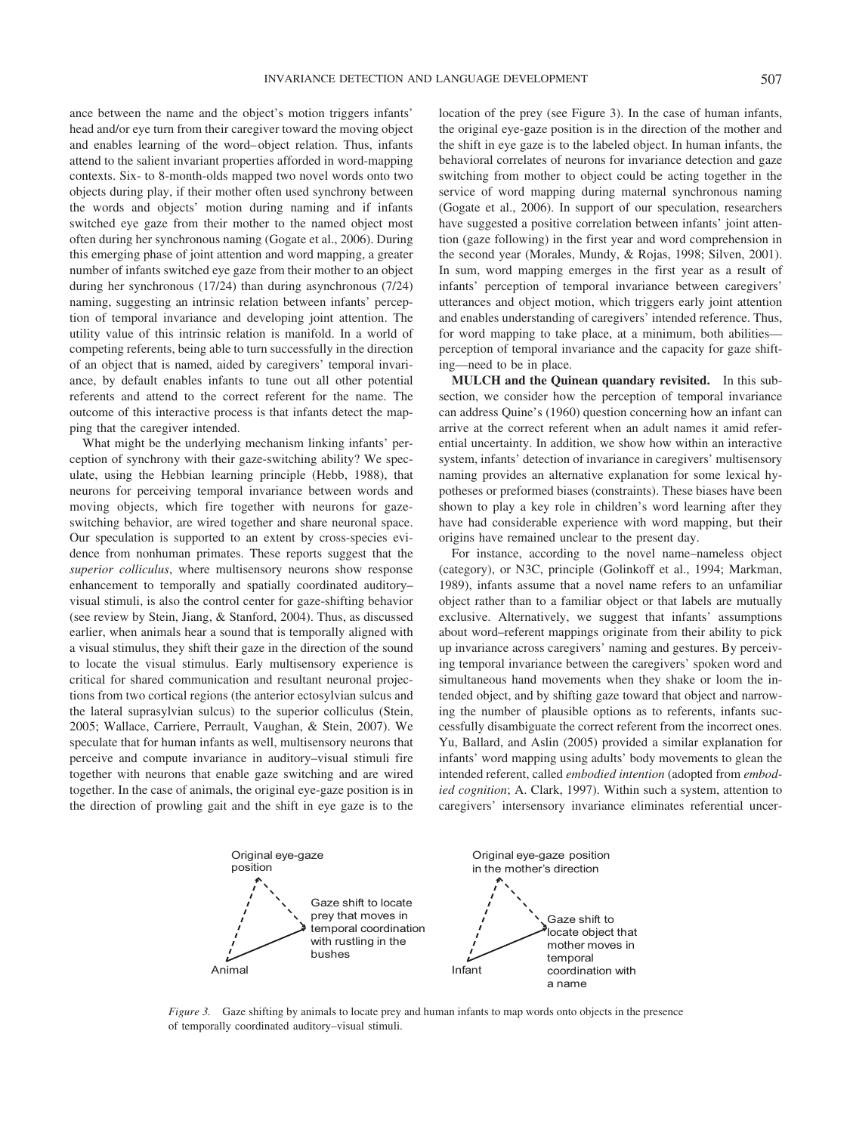ance between the name and the object's motion triggers infants' head and/or eye turn from their caregiver toward the moving object and enables learning of the word– object relation. Thus, infants attend to the salient invariant properties afforded in word-mapping contexts. Six- to 8-month-olds mapped two novel words onto two objects during play, if their mother often used synchrony between the words and objects' motion during naming and if infants switched eye gaze from their mother to the named object most often during her synchronous naming (Gogate et al., 2006). During this emerging phase of joint attention and word mapping, a greater number of infants switched eye gaze from their mother to an object during her synchronous (17/24) than during asynchronous (7/24) naming, suggesting an intrinsic relation between infants' perception of temporal invariance and developing joint attention. The utility value of this intrinsic relation is manifold. In a world of competing referents, being able to turn successfully in the direction of an object that is named, aided by caregivers' temporal invariance, by default enables infants to tune out all other potential referents and attend to the correct referent for the name. The outcome of this interactive process is that infants detect the mapping that the caregiver intended.

What might be the underlying mechanism linking infants' perception of synchrony with their gaze-switching ability? We speculate, using the Hebbian learning principle (Hebb, 1988), that neurons for perceiving temporal invariance between words and moving objects, which fire together with neurons for gazeswitching behavior, are wired together and share neuronal space. Our speculation is supported to an extent by cross-species evidence from nonhuman primates. These reports suggest that the *superior colliculus*, where multisensory neurons show response enhancement to temporally and spatially coordinated auditory– visual stimuli, is also the control center for gaze-shifting behavior (see review by Stein, Jiang, & Stanford, 2004). Thus, as discussed earlier, when animals hear a sound that is temporally aligned with a visual stimulus, they shift their gaze in the direction of the sound to locate the visual stimulus. Early multisensory experience is critical for shared communication and resultant neuronal projections from two cortical regions (the anterior ectosylvian sulcus and the lateral suprasylvian sulcus) to the superior colliculus (Stein, 2005; Wallace, Carriere, Perrault, Vaughan, & Stein, 2007). We speculate that for human infants as well, multisensory neurons that perceive and compute invariance in auditory–visual stimuli fire together with neurons that enable gaze switching and are wired together. In the case of animals, the original eye-gaze position is in the direction of prowling gait and the shift in eye gaze is to the location of the prey (see Figure 3). In the case of human infants, the original eye-gaze position is in the direction of the mother and the shift in eye gaze is to the labeled object. In human infants, the behavioral correlates of neurons for invariance detection and gaze switching from mother to object could be acting together in the service of word mapping during maternal synchronous naming (Gogate et al., 2006). In support of our speculation, researchers have suggested a positive correlation between infants' joint attention (gaze following) in the first year and word comprehension in the second year (Morales, Mundy, & Rojas, 1998; Silven, 2001). In sum, word mapping emerges in the first year as a result of infants' perception of temporal invariance between caregivers' utterances and object motion, which triggers early joint attention and enables understanding of caregivers' intended reference. Thus, for word mapping to take place, at a minimum, both abilities perception of temporal invariance and the capacity for gaze shifting—need to be in place.

**MULCH and the Quinean quandary revisited.** In this subsection, we consider how the perception of temporal invariance can address Quine's (1960) question concerning how an infant can arrive at the correct referent when an adult names it amid referential uncertainty. In addition, we show how within an interactive system, infants' detection of invariance in caregivers' multisensory naming provides an alternative explanation for some lexical hypotheses or preformed biases (constraints). These biases have been shown to play a key role in children's word learning after they have had considerable experience with word mapping, but their origins have remained unclear to the present day.

For instance, according to the novel name–nameless object (category), or N3C, principle (Golinkoff et al., 1994; Markman, 1989), infants assume that a novel name refers to an unfamiliar object rather than to a familiar object or that labels are mutually exclusive. Alternatively, we suggest that infants' assumptions about word–referent mappings originate from their ability to pick up invariance across caregivers' naming and gestures. By perceiving temporal invariance between the caregivers' spoken word and simultaneous hand movements when they shake or loom the intended object, and by shifting gaze toward that object and narrowing the number of plausible options as to referents, infants successfully disambiguate the correct referent from the incorrect ones. Yu, Ballard, and Aslin (2005) provided a similar explanation for infants' word mapping using adults' body movements to glean the intended referent, called *embodied intention* (adopted from *embodied cognition*; A. Clark, 1997). Within such a system, attention to caregivers' intersensory invariance eliminates referential uncer-



*Figure 3.* Gaze shifting by animals to locate prey and human infants to map words onto objects in the presence of temporally coordinated auditory–visual stimuli.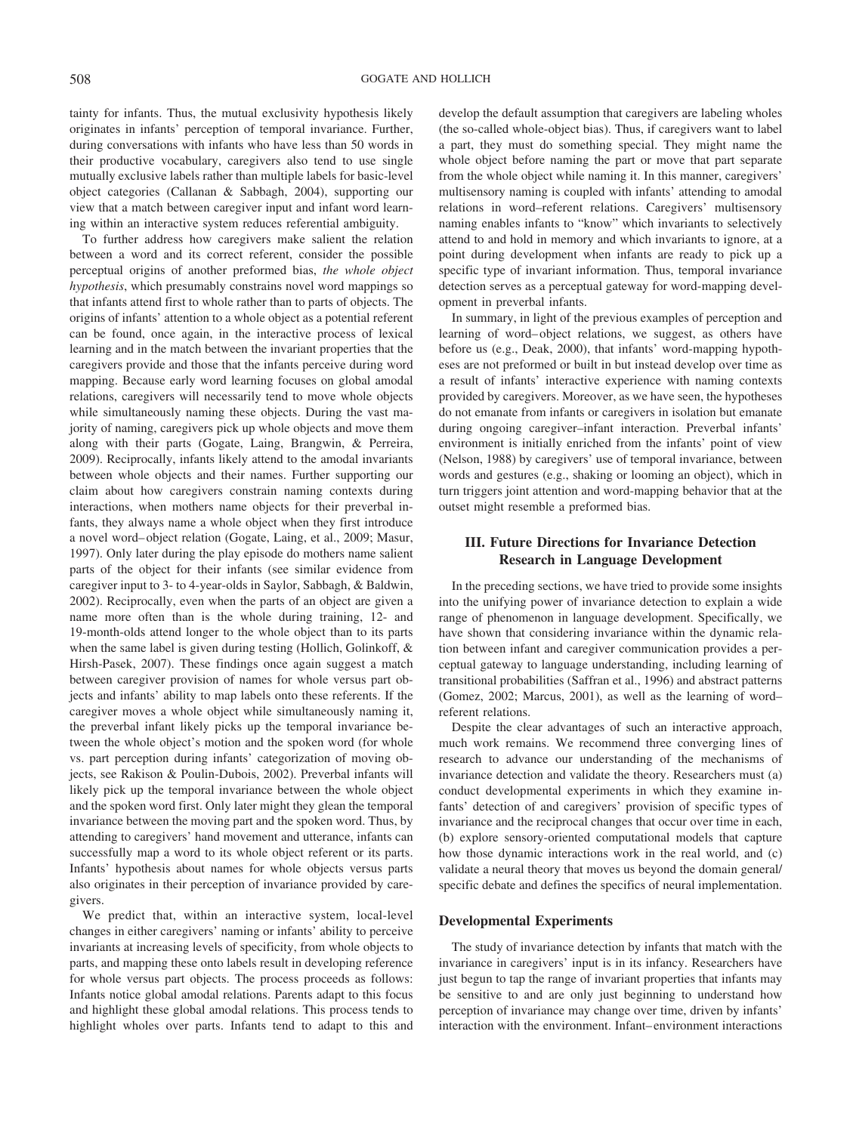tainty for infants. Thus, the mutual exclusivity hypothesis likely originates in infants' perception of temporal invariance. Further, during conversations with infants who have less than 50 words in their productive vocabulary, caregivers also tend to use single mutually exclusive labels rather than multiple labels for basic-level object categories (Callanan & Sabbagh, 2004), supporting our view that a match between caregiver input and infant word learning within an interactive system reduces referential ambiguity.

To further address how caregivers make salient the relation between a word and its correct referent, consider the possible perceptual origins of another preformed bias, *the whole object hypothesis*, which presumably constrains novel word mappings so that infants attend first to whole rather than to parts of objects. The origins of infants' attention to a whole object as a potential referent can be found, once again, in the interactive process of lexical learning and in the match between the invariant properties that the caregivers provide and those that the infants perceive during word mapping. Because early word learning focuses on global amodal relations, caregivers will necessarily tend to move whole objects while simultaneously naming these objects. During the vast majority of naming, caregivers pick up whole objects and move them along with their parts (Gogate, Laing, Brangwin, & Perreira, 2009). Reciprocally, infants likely attend to the amodal invariants between whole objects and their names. Further supporting our claim about how caregivers constrain naming contexts during interactions, when mothers name objects for their preverbal infants, they always name a whole object when they first introduce a novel word– object relation (Gogate, Laing, et al., 2009; Masur, 1997). Only later during the play episode do mothers name salient parts of the object for their infants (see similar evidence from caregiver input to 3- to 4-year-olds in Saylor, Sabbagh, & Baldwin, 2002). Reciprocally, even when the parts of an object are given a name more often than is the whole during training, 12- and 19-month-olds attend longer to the whole object than to its parts when the same label is given during testing (Hollich, Golinkoff, & Hirsh-Pasek, 2007). These findings once again suggest a match between caregiver provision of names for whole versus part objects and infants' ability to map labels onto these referents. If the caregiver moves a whole object while simultaneously naming it, the preverbal infant likely picks up the temporal invariance between the whole object's motion and the spoken word (for whole vs. part perception during infants' categorization of moving objects, see Rakison & Poulin-Dubois, 2002). Preverbal infants will likely pick up the temporal invariance between the whole object and the spoken word first. Only later might they glean the temporal invariance between the moving part and the spoken word. Thus, by attending to caregivers' hand movement and utterance, infants can successfully map a word to its whole object referent or its parts. Infants' hypothesis about names for whole objects versus parts also originates in their perception of invariance provided by caregivers.

We predict that, within an interactive system, local-level changes in either caregivers' naming or infants' ability to perceive invariants at increasing levels of specificity, from whole objects to parts, and mapping these onto labels result in developing reference for whole versus part objects. The process proceeds as follows: Infants notice global amodal relations. Parents adapt to this focus and highlight these global amodal relations. This process tends to highlight wholes over parts. Infants tend to adapt to this and develop the default assumption that caregivers are labeling wholes (the so-called whole-object bias). Thus, if caregivers want to label a part, they must do something special. They might name the whole object before naming the part or move that part separate from the whole object while naming it. In this manner, caregivers' multisensory naming is coupled with infants' attending to amodal relations in word–referent relations. Caregivers' multisensory naming enables infants to "know" which invariants to selectively attend to and hold in memory and which invariants to ignore, at a point during development when infants are ready to pick up a specific type of invariant information. Thus, temporal invariance detection serves as a perceptual gateway for word-mapping development in preverbal infants.

In summary, in light of the previous examples of perception and learning of word– object relations, we suggest, as others have before us (e.g., Deak, 2000), that infants' word-mapping hypotheses are not preformed or built in but instead develop over time as a result of infants' interactive experience with naming contexts provided by caregivers. Moreover, as we have seen, the hypotheses do not emanate from infants or caregivers in isolation but emanate during ongoing caregiver–infant interaction. Preverbal infants' environment is initially enriched from the infants' point of view (Nelson, 1988) by caregivers' use of temporal invariance, between words and gestures (e.g., shaking or looming an object), which in turn triggers joint attention and word-mapping behavior that at the outset might resemble a preformed bias.

# **III. Future Directions for Invariance Detection Research in Language Development**

In the preceding sections, we have tried to provide some insights into the unifying power of invariance detection to explain a wide range of phenomenon in language development. Specifically, we have shown that considering invariance within the dynamic relation between infant and caregiver communication provides a perceptual gateway to language understanding, including learning of transitional probabilities (Saffran et al., 1996) and abstract patterns (Gomez, 2002; Marcus, 2001), as well as the learning of word– referent relations.

Despite the clear advantages of such an interactive approach, much work remains. We recommend three converging lines of research to advance our understanding of the mechanisms of invariance detection and validate the theory. Researchers must (a) conduct developmental experiments in which they examine infants' detection of and caregivers' provision of specific types of invariance and the reciprocal changes that occur over time in each, (b) explore sensory-oriented computational models that capture how those dynamic interactions work in the real world, and (c) validate a neural theory that moves us beyond the domain general/ specific debate and defines the specifics of neural implementation.

## **Developmental Experiments**

The study of invariance detection by infants that match with the invariance in caregivers' input is in its infancy. Researchers have just begun to tap the range of invariant properties that infants may be sensitive to and are only just beginning to understand how perception of invariance may change over time, driven by infants' interaction with the environment. Infant– environment interactions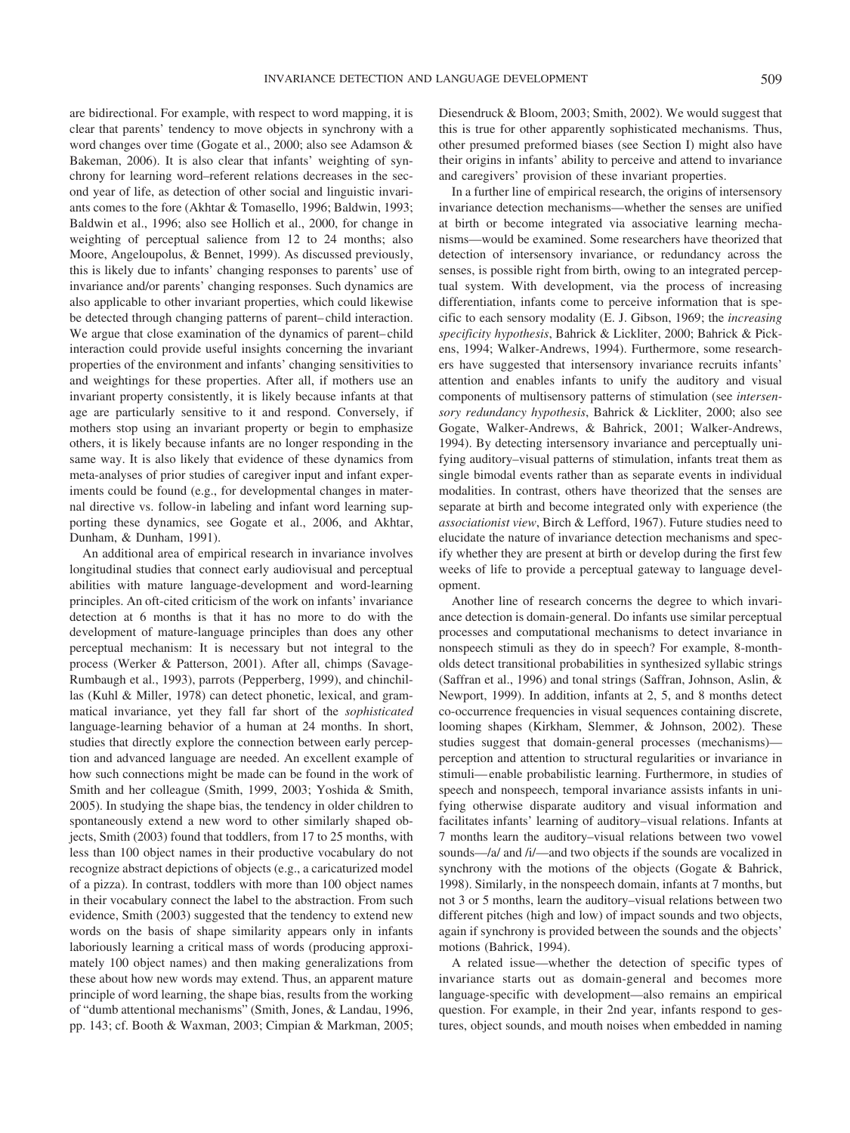are bidirectional. For example, with respect to word mapping, it is clear that parents' tendency to move objects in synchrony with a word changes over time (Gogate et al., 2000; also see Adamson & Bakeman, 2006). It is also clear that infants' weighting of synchrony for learning word–referent relations decreases in the second year of life, as detection of other social and linguistic invariants comes to the fore (Akhtar & Tomasello, 1996; Baldwin, 1993; Baldwin et al., 1996; also see Hollich et al., 2000, for change in weighting of perceptual salience from 12 to 24 months; also Moore, Angeloupolus, & Bennet, 1999). As discussed previously, this is likely due to infants' changing responses to parents' use of invariance and/or parents' changing responses. Such dynamics are also applicable to other invariant properties, which could likewise be detected through changing patterns of parent– child interaction. We argue that close examination of the dynamics of parent–child interaction could provide useful insights concerning the invariant properties of the environment and infants' changing sensitivities to and weightings for these properties. After all, if mothers use an invariant property consistently, it is likely because infants at that age are particularly sensitive to it and respond. Conversely, if mothers stop using an invariant property or begin to emphasize others, it is likely because infants are no longer responding in the same way. It is also likely that evidence of these dynamics from meta-analyses of prior studies of caregiver input and infant experiments could be found (e.g., for developmental changes in maternal directive vs. follow-in labeling and infant word learning supporting these dynamics, see Gogate et al., 2006, and Akhtar, Dunham, & Dunham, 1991).

An additional area of empirical research in invariance involves longitudinal studies that connect early audiovisual and perceptual abilities with mature language-development and word-learning principles. An oft-cited criticism of the work on infants' invariance detection at 6 months is that it has no more to do with the development of mature-language principles than does any other perceptual mechanism: It is necessary but not integral to the process (Werker & Patterson, 2001). After all, chimps (Savage-Rumbaugh et al., 1993), parrots (Pepperberg, 1999), and chinchillas (Kuhl & Miller, 1978) can detect phonetic, lexical, and grammatical invariance, yet they fall far short of the *sophisticated* language-learning behavior of a human at 24 months. In short, studies that directly explore the connection between early perception and advanced language are needed. An excellent example of how such connections might be made can be found in the work of Smith and her colleague (Smith, 1999, 2003; Yoshida & Smith, 2005). In studying the shape bias, the tendency in older children to spontaneously extend a new word to other similarly shaped objects, Smith (2003) found that toddlers, from 17 to 25 months, with less than 100 object names in their productive vocabulary do not recognize abstract depictions of objects (e.g., a caricaturized model of a pizza). In contrast, toddlers with more than 100 object names in their vocabulary connect the label to the abstraction. From such evidence, Smith (2003) suggested that the tendency to extend new words on the basis of shape similarity appears only in infants laboriously learning a critical mass of words (producing approximately 100 object names) and then making generalizations from these about how new words may extend. Thus, an apparent mature principle of word learning, the shape bias, results from the working of "dumb attentional mechanisms" (Smith, Jones, & Landau, 1996, pp. 143; cf. Booth & Waxman, 2003; Cimpian & Markman, 2005;

Diesendruck & Bloom, 2003; Smith, 2002). We would suggest that this is true for other apparently sophisticated mechanisms. Thus, other presumed preformed biases (see Section I) might also have their origins in infants' ability to perceive and attend to invariance and caregivers' provision of these invariant properties.

In a further line of empirical research, the origins of intersensory invariance detection mechanisms—whether the senses are unified at birth or become integrated via associative learning mechanisms—would be examined. Some researchers have theorized that detection of intersensory invariance, or redundancy across the senses, is possible right from birth, owing to an integrated perceptual system. With development, via the process of increasing differentiation, infants come to perceive information that is specific to each sensory modality (E. J. Gibson, 1969; the *increasing specificity hypothesis*, Bahrick & Lickliter, 2000; Bahrick & Pickens, 1994; Walker-Andrews, 1994). Furthermore, some researchers have suggested that intersensory invariance recruits infants' attention and enables infants to unify the auditory and visual components of multisensory patterns of stimulation (see *intersensory redundancy hypothesis*, Bahrick & Lickliter, 2000; also see Gogate, Walker-Andrews, & Bahrick, 2001; Walker-Andrews, 1994). By detecting intersensory invariance and perceptually unifying auditory–visual patterns of stimulation, infants treat them as single bimodal events rather than as separate events in individual modalities. In contrast, others have theorized that the senses are separate at birth and become integrated only with experience (the *associationist view*, Birch & Lefford, 1967). Future studies need to elucidate the nature of invariance detection mechanisms and specify whether they are present at birth or develop during the first few weeks of life to provide a perceptual gateway to language development.

Another line of research concerns the degree to which invariance detection is domain-general. Do infants use similar perceptual processes and computational mechanisms to detect invariance in nonspeech stimuli as they do in speech? For example, 8-montholds detect transitional probabilities in synthesized syllabic strings (Saffran et al., 1996) and tonal strings (Saffran, Johnson, Aslin, & Newport, 1999). In addition, infants at 2, 5, and 8 months detect co-occurrence frequencies in visual sequences containing discrete, looming shapes (Kirkham, Slemmer, & Johnson, 2002). These studies suggest that domain-general processes (mechanisms) perception and attention to structural regularities or invariance in stimuli— enable probabilistic learning. Furthermore, in studies of speech and nonspeech, temporal invariance assists infants in unifying otherwise disparate auditory and visual information and facilitates infants' learning of auditory–visual relations. Infants at 7 months learn the auditory–visual relations between two vowel sounds—/a/ and /i/—and two objects if the sounds are vocalized in synchrony with the motions of the objects (Gogate & Bahrick, 1998). Similarly, in the nonspeech domain, infants at 7 months, but not 3 or 5 months, learn the auditory–visual relations between two different pitches (high and low) of impact sounds and two objects, again if synchrony is provided between the sounds and the objects' motions (Bahrick, 1994).

A related issue—whether the detection of specific types of invariance starts out as domain-general and becomes more language-specific with development—also remains an empirical question. For example, in their 2nd year, infants respond to gestures, object sounds, and mouth noises when embedded in naming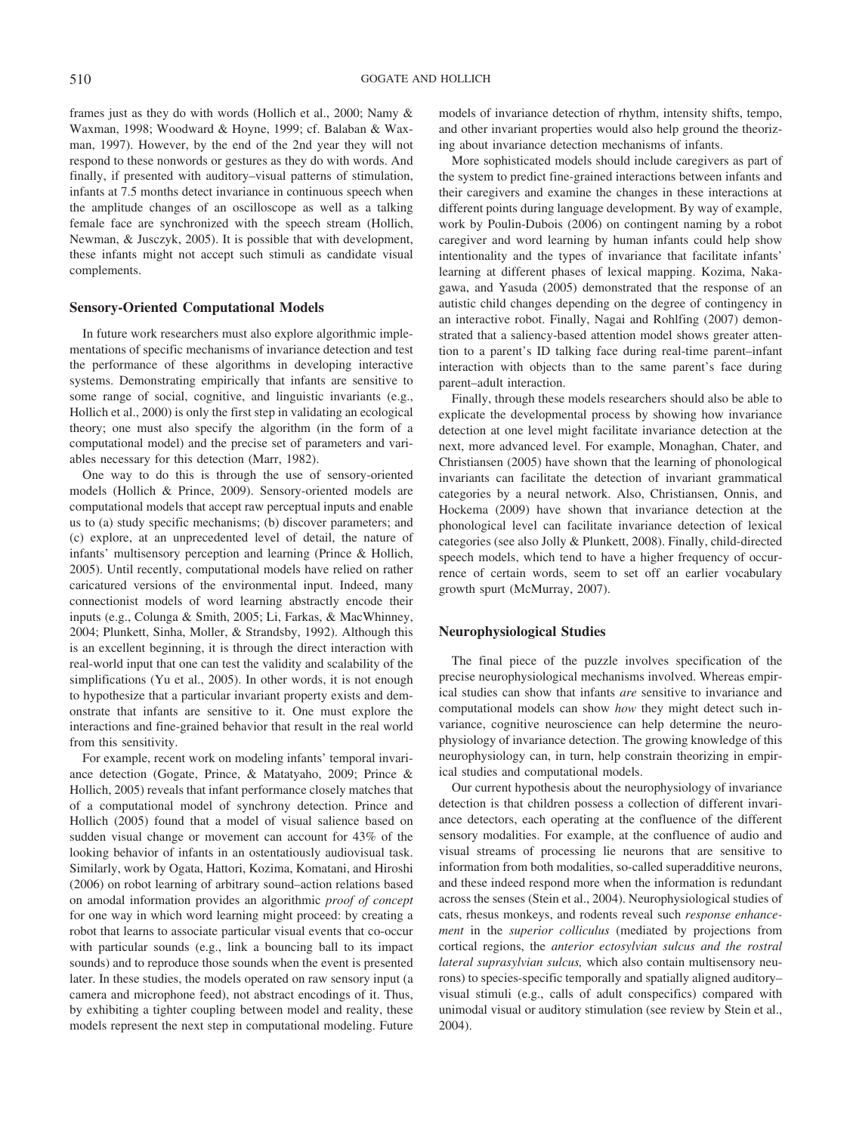frames just as they do with words (Hollich et al., 2000; Namy & Waxman, 1998; Woodward & Hoyne, 1999; cf. Balaban & Waxman, 1997). However, by the end of the 2nd year they will not respond to these nonwords or gestures as they do with words. And finally, if presented with auditory–visual patterns of stimulation, infants at 7.5 months detect invariance in continuous speech when the amplitude changes of an oscilloscope as well as a talking female face are synchronized with the speech stream (Hollich, Newman, & Jusczyk, 2005). It is possible that with development, these infants might not accept such stimuli as candidate visual complements.

## **Sensory-Oriented Computational Models**

In future work researchers must also explore algorithmic implementations of specific mechanisms of invariance detection and test the performance of these algorithms in developing interactive systems. Demonstrating empirically that infants are sensitive to some range of social, cognitive, and linguistic invariants (e.g., Hollich et al., 2000) is only the first step in validating an ecological theory; one must also specify the algorithm (in the form of a computational model) and the precise set of parameters and variables necessary for this detection (Marr, 1982).

One way to do this is through the use of sensory-oriented models (Hollich & Prince, 2009). Sensory-oriented models are computational models that accept raw perceptual inputs and enable us to (a) study specific mechanisms; (b) discover parameters; and (c) explore, at an unprecedented level of detail, the nature of infants' multisensory perception and learning (Prince & Hollich, 2005). Until recently, computational models have relied on rather caricatured versions of the environmental input. Indeed, many connectionist models of word learning abstractly encode their inputs (e.g., Colunga & Smith, 2005; Li, Farkas, & MacWhinney, 2004; Plunkett, Sinha, Moller, & Strandsby, 1992). Although this is an excellent beginning, it is through the direct interaction with real-world input that one can test the validity and scalability of the simplifications (Yu et al., 2005). In other words, it is not enough to hypothesize that a particular invariant property exists and demonstrate that infants are sensitive to it. One must explore the interactions and fine-grained behavior that result in the real world from this sensitivity.

For example, recent work on modeling infants' temporal invariance detection (Gogate, Prince, & Matatyaho, 2009; Prince & Hollich, 2005) reveals that infant performance closely matches that of a computational model of synchrony detection. Prince and Hollich (2005) found that a model of visual salience based on sudden visual change or movement can account for 43% of the looking behavior of infants in an ostentatiously audiovisual task. Similarly, work by Ogata, Hattori, Kozima, Komatani, and Hiroshi (2006) on robot learning of arbitrary sound–action relations based on amodal information provides an algorithmic *proof of concept* for one way in which word learning might proceed: by creating a robot that learns to associate particular visual events that co-occur with particular sounds (e.g., link a bouncing ball to its impact sounds) and to reproduce those sounds when the event is presented later. In these studies, the models operated on raw sensory input (a camera and microphone feed), not abstract encodings of it. Thus, by exhibiting a tighter coupling between model and reality, these models represent the next step in computational modeling. Future models of invariance detection of rhythm, intensity shifts, tempo, and other invariant properties would also help ground the theorizing about invariance detection mechanisms of infants.

More sophisticated models should include caregivers as part of the system to predict fine-grained interactions between infants and their caregivers and examine the changes in these interactions at different points during language development. By way of example, work by Poulin-Dubois (2006) on contingent naming by a robot caregiver and word learning by human infants could help show intentionality and the types of invariance that facilitate infants' learning at different phases of lexical mapping. Kozima, Nakagawa, and Yasuda (2005) demonstrated that the response of an autistic child changes depending on the degree of contingency in an interactive robot. Finally, Nagai and Rohlfing (2007) demonstrated that a saliency-based attention model shows greater attention to a parent's ID talking face during real-time parent–infant interaction with objects than to the same parent's face during parent–adult interaction.

Finally, through these models researchers should also be able to explicate the developmental process by showing how invariance detection at one level might facilitate invariance detection at the next, more advanced level. For example, Monaghan, Chater, and Christiansen (2005) have shown that the learning of phonological invariants can facilitate the detection of invariant grammatical categories by a neural network. Also, Christiansen, Onnis, and Hockema (2009) have shown that invariance detection at the phonological level can facilitate invariance detection of lexical categories (see also Jolly & Plunkett, 2008). Finally, child-directed speech models, which tend to have a higher frequency of occurrence of certain words, seem to set off an earlier vocabulary growth spurt (McMurray, 2007).

### **Neurophysiological Studies**

The final piece of the puzzle involves specification of the precise neurophysiological mechanisms involved. Whereas empirical studies can show that infants *are* sensitive to invariance and computational models can show *how* they might detect such invariance, cognitive neuroscience can help determine the neurophysiology of invariance detection. The growing knowledge of this neurophysiology can, in turn, help constrain theorizing in empirical studies and computational models.

Our current hypothesis about the neurophysiology of invariance detection is that children possess a collection of different invariance detectors, each operating at the confluence of the different sensory modalities. For example, at the confluence of audio and visual streams of processing lie neurons that are sensitive to information from both modalities, so-called superadditive neurons, and these indeed respond more when the information is redundant across the senses (Stein et al., 2004). Neurophysiological studies of cats, rhesus monkeys, and rodents reveal such *response enhancement* in the *superior colliculus* (mediated by projections from cortical regions, the *anterior ectosylvian sulcus and the rostral lateral suprasylvian sulcus,* which also contain multisensory neurons) to species-specific temporally and spatially aligned auditory– visual stimuli (e.g., calls of adult conspecifics) compared with unimodal visual or auditory stimulation (see review by Stein et al., 2004).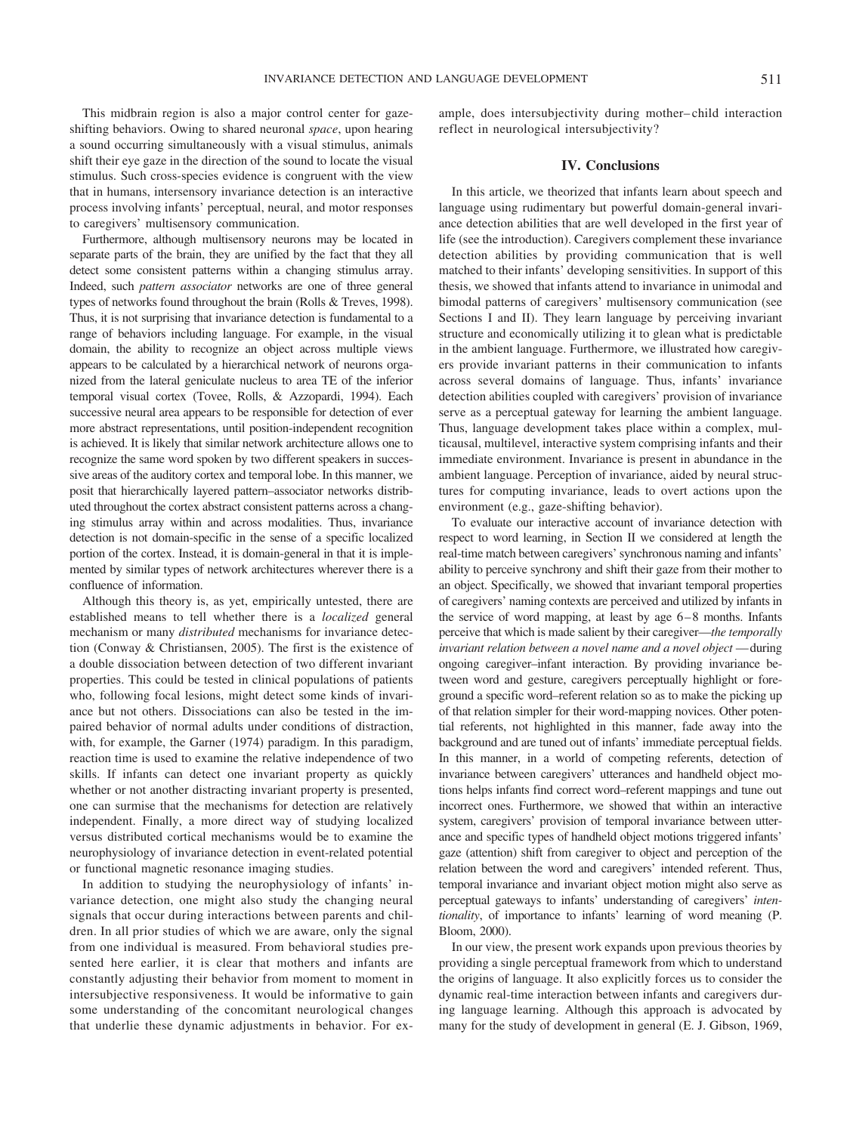This midbrain region is also a major control center for gazeshifting behaviors. Owing to shared neuronal *space*, upon hearing a sound occurring simultaneously with a visual stimulus, animals shift their eye gaze in the direction of the sound to locate the visual stimulus. Such cross-species evidence is congruent with the view that in humans, intersensory invariance detection is an interactive process involving infants' perceptual, neural, and motor responses to caregivers' multisensory communication.

Furthermore, although multisensory neurons may be located in separate parts of the brain, they are unified by the fact that they all detect some consistent patterns within a changing stimulus array. Indeed, such *pattern associator* networks are one of three general types of networks found throughout the brain (Rolls & Treves, 1998). Thus, it is not surprising that invariance detection is fundamental to a range of behaviors including language. For example, in the visual domain, the ability to recognize an object across multiple views appears to be calculated by a hierarchical network of neurons organized from the lateral geniculate nucleus to area TE of the inferior temporal visual cortex (Tovee, Rolls, & Azzopardi, 1994). Each successive neural area appears to be responsible for detection of ever more abstract representations, until position-independent recognition is achieved. It is likely that similar network architecture allows one to recognize the same word spoken by two different speakers in successive areas of the auditory cortex and temporal lobe. In this manner, we posit that hierarchically layered pattern–associator networks distributed throughout the cortex abstract consistent patterns across a changing stimulus array within and across modalities. Thus, invariance detection is not domain-specific in the sense of a specific localized portion of the cortex. Instead, it is domain-general in that it is implemented by similar types of network architectures wherever there is a confluence of information.

Although this theory is, as yet, empirically untested, there are established means to tell whether there is a *localized* general mechanism or many *distributed* mechanisms for invariance detection (Conway & Christiansen, 2005). The first is the existence of a double dissociation between detection of two different invariant properties. This could be tested in clinical populations of patients who, following focal lesions, might detect some kinds of invariance but not others. Dissociations can also be tested in the impaired behavior of normal adults under conditions of distraction, with, for example, the Garner (1974) paradigm. In this paradigm, reaction time is used to examine the relative independence of two skills. If infants can detect one invariant property as quickly whether or not another distracting invariant property is presented, one can surmise that the mechanisms for detection are relatively independent. Finally, a more direct way of studying localized versus distributed cortical mechanisms would be to examine the neurophysiology of invariance detection in event-related potential or functional magnetic resonance imaging studies.

In addition to studying the neurophysiology of infants' invariance detection, one might also study the changing neural signals that occur during interactions between parents and children. In all prior studies of which we are aware, only the signal from one individual is measured. From behavioral studies presented here earlier, it is clear that mothers and infants are constantly adjusting their behavior from moment to moment in intersubjective responsiveness. It would be informative to gain some understanding of the concomitant neurological changes that underlie these dynamic adjustments in behavior. For example, does intersubjectivity during mother– child interaction reflect in neurological intersubjectivity?

## **IV. Conclusions**

In this article, we theorized that infants learn about speech and language using rudimentary but powerful domain-general invariance detection abilities that are well developed in the first year of life (see the introduction). Caregivers complement these invariance detection abilities by providing communication that is well matched to their infants' developing sensitivities. In support of this thesis, we showed that infants attend to invariance in unimodal and bimodal patterns of caregivers' multisensory communication (see Sections I and II). They learn language by perceiving invariant structure and economically utilizing it to glean what is predictable in the ambient language. Furthermore, we illustrated how caregivers provide invariant patterns in their communication to infants across several domains of language. Thus, infants' invariance detection abilities coupled with caregivers' provision of invariance serve as a perceptual gateway for learning the ambient language. Thus, language development takes place within a complex, multicausal, multilevel, interactive system comprising infants and their immediate environment. Invariance is present in abundance in the ambient language. Perception of invariance, aided by neural structures for computing invariance, leads to overt actions upon the environment (e.g., gaze-shifting behavior).

To evaluate our interactive account of invariance detection with respect to word learning, in Section II we considered at length the real-time match between caregivers' synchronous naming and infants' ability to perceive synchrony and shift their gaze from their mother to an object. Specifically, we showed that invariant temporal properties of caregivers' naming contexts are perceived and utilized by infants in the service of word mapping, at least by age  $6-8$  months. Infants perceive that which is made salient by their caregiver—*the temporally invariant relation between a novel name and a novel object* — during ongoing caregiver–infant interaction. By providing invariance between word and gesture, caregivers perceptually highlight or foreground a specific word–referent relation so as to make the picking up of that relation simpler for their word-mapping novices. Other potential referents, not highlighted in this manner, fade away into the background and are tuned out of infants' immediate perceptual fields. In this manner, in a world of competing referents, detection of invariance between caregivers' utterances and handheld object motions helps infants find correct word–referent mappings and tune out incorrect ones. Furthermore, we showed that within an interactive system, caregivers' provision of temporal invariance between utterance and specific types of handheld object motions triggered infants' gaze (attention) shift from caregiver to object and perception of the relation between the word and caregivers' intended referent. Thus, temporal invariance and invariant object motion might also serve as perceptual gateways to infants' understanding of caregivers' *intentionality*, of importance to infants' learning of word meaning (P. Bloom, 2000).

In our view, the present work expands upon previous theories by providing a single perceptual framework from which to understand the origins of language. It also explicitly forces us to consider the dynamic real-time interaction between infants and caregivers during language learning. Although this approach is advocated by many for the study of development in general (E. J. Gibson, 1969,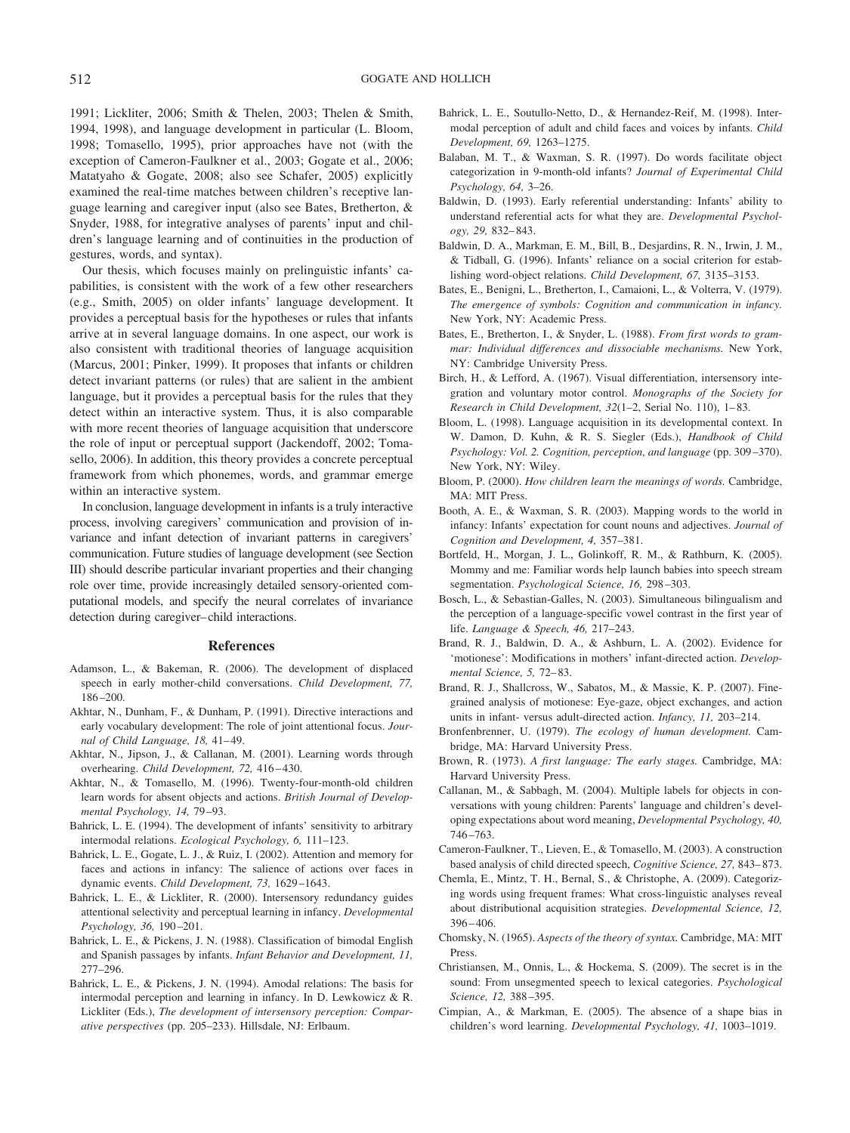1991; Lickliter, 2006; Smith & Thelen, 2003; Thelen & Smith, 1994, 1998), and language development in particular (L. Bloom, 1998; Tomasello, 1995), prior approaches have not (with the exception of Cameron-Faulkner et al., 2003; Gogate et al., 2006; Matatyaho & Gogate, 2008; also see Schafer, 2005) explicitly examined the real-time matches between children's receptive language learning and caregiver input (also see Bates, Bretherton, & Snyder, 1988, for integrative analyses of parents' input and children's language learning and of continuities in the production of gestures, words, and syntax).

Our thesis, which focuses mainly on prelinguistic infants' capabilities, is consistent with the work of a few other researchers (e.g., Smith, 2005) on older infants' language development. It provides a perceptual basis for the hypotheses or rules that infants arrive at in several language domains. In one aspect, our work is also consistent with traditional theories of language acquisition (Marcus, 2001; Pinker, 1999). It proposes that infants or children detect invariant patterns (or rules) that are salient in the ambient language, but it provides a perceptual basis for the rules that they detect within an interactive system. Thus, it is also comparable with more recent theories of language acquisition that underscore the role of input or perceptual support (Jackendoff, 2002; Tomasello, 2006). In addition, this theory provides a concrete perceptual framework from which phonemes, words, and grammar emerge within an interactive system.

In conclusion, language development in infants is a truly interactive process, involving caregivers' communication and provision of invariance and infant detection of invariant patterns in caregivers' communication. Future studies of language development (see Section III) should describe particular invariant properties and their changing role over time, provide increasingly detailed sensory-oriented computational models, and specify the neural correlates of invariance detection during caregiver–child interactions.

#### **References**

- Adamson, L., & Bakeman, R. (2006). The development of displaced speech in early mother-child conversations. *Child Development, 77,* 186 –200.
- Akhtar, N., Dunham, F., & Dunham, P. (1991). Directive interactions and early vocabulary development: The role of joint attentional focus. *Journal of Child Language, 18,* 41– 49.
- Akhtar, N., Jipson, J., & Callanan, M. (2001). Learning words through overhearing. *Child Development*, 72, 416-430.
- Akhtar, N., & Tomasello, M. (1996). Twenty-four-month-old children learn words for absent objects and actions. *British Journal of Developmental Psychology, 14,* 79 –93.
- Bahrick, L. E. (1994). The development of infants' sensitivity to arbitrary intermodal relations. *Ecological Psychology, 6,* 111–123.
- Bahrick, L. E., Gogate, L. J., & Ruiz, I. (2002). Attention and memory for faces and actions in infancy: The salience of actions over faces in dynamic events. *Child Development, 73,* 1629 –1643.
- Bahrick, L. E., & Lickliter, R. (2000). Intersensory redundancy guides attentional selectivity and perceptual learning in infancy. *Developmental Psychology, 36,* 190 –201.
- Bahrick, L. E., & Pickens, J. N. (1988). Classification of bimodal English and Spanish passages by infants. *Infant Behavior and Development, 11,* 277–296.
- Bahrick, L. E., & Pickens, J. N. (1994). Amodal relations: The basis for intermodal perception and learning in infancy. In D. Lewkowicz & R. Lickliter (Eds.), *The development of intersensory perception: Comparative perspectives* (pp. 205–233). Hillsdale, NJ: Erlbaum.
- Bahrick, L. E., Soutullo-Netto, D., & Hernandez-Reif, M. (1998). Intermodal perception of adult and child faces and voices by infants. *Child Development, 69,* 1263–1275.
- Balaban, M. T., & Waxman, S. R. (1997). Do words facilitate object categorization in 9-month-old infants? *Journal of Experimental Child Psychology, 64,* 3–26.
- Baldwin, D. (1993). Early referential understanding: Infants' ability to understand referential acts for what they are. *Developmental Psychology, 29,* 832– 843.
- Baldwin, D. A., Markman, E. M., Bill, B., Desjardins, R. N., Irwin, J. M., & Tidball, G. (1996). Infants' reliance on a social criterion for establishing word-object relations. *Child Development, 67,* 3135–3153.
- Bates, E., Benigni, L., Bretherton, I., Camaioni, L., & Volterra, V. (1979). *The emergence of symbols: Cognition and communication in infancy.* New York, NY: Academic Press.
- Bates, E., Bretherton, I., & Snyder, L. (1988). *From first words to grammar: Individual differences and dissociable mechanisms.* New York, NY: Cambridge University Press.
- Birch, H., & Lefford, A. (1967). Visual differentiation, intersensory integration and voluntary motor control. *Monographs of the Society for Research in Child Development, 32*(1–2, Serial No. 110), 1– 83.
- Bloom, L. (1998). Language acquisition in its developmental context. In W. Damon, D. Kuhn, & R. S. Siegler (Eds.), *Handbook of Child Psychology: Vol. 2. Cognition, perception, and language* (pp. 309 –370). New York, NY: Wiley.
- Bloom, P. (2000). *How children learn the meanings of words.* Cambridge, MA: MIT Press.
- Booth, A. E., & Waxman, S. R. (2003). Mapping words to the world in infancy: Infants' expectation for count nouns and adjectives. *Journal of Cognition and Development, 4,* 357–381.
- Bortfeld, H., Morgan, J. L., Golinkoff, R. M., & Rathburn, K. (2005). Mommy and me: Familiar words help launch babies into speech stream segmentation. *Psychological Science, 16,* 298 –303.
- Bosch, L., & Sebastian-Galles, N. (2003). Simultaneous bilingualism and the perception of a language-specific vowel contrast in the first year of life. *Language & Speech, 46,* 217–243.
- Brand, R. J., Baldwin, D. A., & Ashburn, L. A. (2002). Evidence for 'motionese': Modifications in mothers' infant-directed action. *Developmental Science, 5,* 72– 83.
- Brand, R. J., Shallcross, W., Sabatos, M., & Massie, K. P. (2007). Finegrained analysis of motionese: Eye-gaze, object exchanges, and action units in infant- versus adult-directed action. *Infancy, 11,* 203–214.
- Bronfenbrenner, U. (1979). *The ecology of human development.* Cambridge, MA: Harvard University Press.
- Brown, R. (1973). *A first language: The early stages.* Cambridge, MA: Harvard University Press.
- Callanan, M., & Sabbagh, M. (2004). Multiple labels for objects in conversations with young children: Parents' language and children's developing expectations about word meaning, *Developmental Psychology, 40,* 746 –763.
- Cameron-Faulkner, T., Lieven, E., & Tomasello, M. (2003). A construction based analysis of child directed speech, *Cognitive Science, 27,* 843– 873.
- Chemla, E., Mintz, T. H., Bernal, S., & Christophe, A. (2009). Categorizing words using frequent frames: What cross-linguistic analyses reveal about distributional acquisition strategies. *Developmental Science, 12,* 396 – 406.
- Chomsky, N. (1965). *Aspects of the theory of syntax.* Cambridge, MA: MIT Press.
- Christiansen, M., Onnis, L., & Hockema, S. (2009). The secret is in the sound: From unsegmented speech to lexical categories. *Psychological Science, 12,* 388 –395.
- Cimpian, A., & Markman, E. (2005). The absence of a shape bias in children's word learning. *Developmental Psychology, 41,* 1003–1019.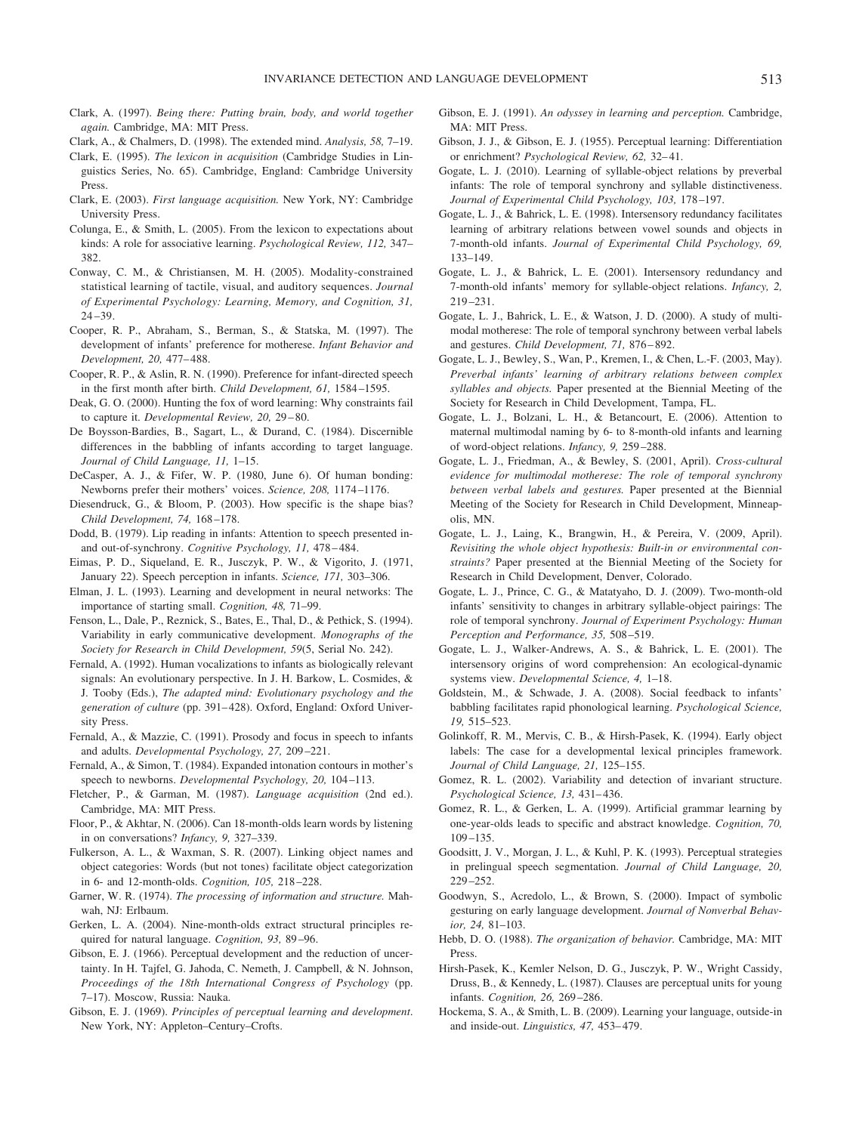- Clark, A. (1997). *Being there: Putting brain, body, and world together again.* Cambridge, MA: MIT Press.
- Clark, A., & Chalmers, D. (1998). The extended mind. *Analysis, 58,* 7–19.
- Clark, E. (1995). *The lexicon in acquisition* (Cambridge Studies in Linguistics Series, No. 65). Cambridge, England: Cambridge University Press.
- Clark, E. (2003). *First language acquisition.* New York, NY: Cambridge University Press.
- Colunga, E., & Smith, L. (2005). From the lexicon to expectations about kinds: A role for associative learning. *Psychological Review, 112,* 347– 382.
- Conway, C. M., & Christiansen, M. H. (2005). Modality-constrained statistical learning of tactile, visual, and auditory sequences. *Journal of Experimental Psychology: Learning, Memory, and Cognition, 31,*  $24 - 39.$
- Cooper, R. P., Abraham, S., Berman, S., & Statska, M. (1997). The development of infants' preference for motherese. *Infant Behavior and Development, 20,* 477– 488.
- Cooper, R. P., & Aslin, R. N. (1990). Preference for infant-directed speech in the first month after birth. *Child Development, 61,* 1584 –1595.
- Deak, G. O. (2000). Hunting the fox of word learning: Why constraints fail to capture it. *Developmental Review, 20,* 29 – 80.
- De Boysson-Bardies, B., Sagart, L., & Durand, C. (1984). Discernible differences in the babbling of infants according to target language. *Journal of Child Language, 11,* 1–15.
- DeCasper, A. J., & Fifer, W. P. (1980, June 6). Of human bonding: Newborns prefer their mothers' voices. *Science, 208,* 1174 –1176.
- Diesendruck, G., & Bloom, P. (2003). How specific is the shape bias? *Child Development, 74,* 168 –178.
- Dodd, B. (1979). Lip reading in infants: Attention to speech presented inand out-of-synchrony. *Cognitive Psychology, 11,* 478 – 484.
- Eimas, P. D., Siqueland, E. R., Jusczyk, P. W., & Vigorito, J. (1971, January 22). Speech perception in infants. *Science, 171,* 303–306.
- Elman, J. L. (1993). Learning and development in neural networks: The importance of starting small. *Cognition, 48,* 71–99.
- Fenson, L., Dale, P., Reznick, S., Bates, E., Thal, D., & Pethick, S. (1994). Variability in early communicative development. *Monographs of the Society for Research in Child Development, 59*(5, Serial No. 242).
- Fernald, A. (1992). Human vocalizations to infants as biologically relevant signals: An evolutionary perspective. In J. H. Barkow, L. Cosmides, & J. Tooby (Eds.), *The adapted mind: Evolutionary psychology and the generation of culture* (pp. 391– 428). Oxford, England: Oxford University Press.
- Fernald, A., & Mazzie, C. (1991). Prosody and focus in speech to infants and adults. *Developmental Psychology, 27,* 209 –221.
- Fernald, A., & Simon, T. (1984). Expanded intonation contours in mother's speech to newborns. *Developmental Psychology, 20,* 104 –113.
- Fletcher, P., & Garman, M. (1987). *Language acquisition* (2nd ed.). Cambridge, MA: MIT Press.
- Floor, P., & Akhtar, N. (2006). Can 18-month-olds learn words by listening in on conversations? *Infancy, 9,* 327–339.
- Fulkerson, A. L., & Waxman, S. R. (2007). Linking object names and object categories: Words (but not tones) facilitate object categorization in 6- and 12-month-olds. *Cognition, 105,* 218 –228.
- Garner, W. R. (1974). *The processing of information and structure.* Mahwah, NJ: Erlbaum.
- Gerken, L. A. (2004). Nine-month-olds extract structural principles required for natural language. *Cognition, 93,* 89 –96.
- Gibson, E. J. (1966). Perceptual development and the reduction of uncertainty. In H. Tajfel, G. Jahoda, C. Nemeth, J. Campbell, & N. Johnson, *Proceedings of the 18th International Congress of Psychology* (pp. 7–17). Moscow, Russia: Nauka.
- Gibson, E. J. (1969). *Principles of perceptual learning and development*. New York, NY: Appleton–Century–Crofts.
- Gibson, E. J. (1991). *An odyssey in learning and perception.* Cambridge, MA: MIT Press.
- Gibson, J. J., & Gibson, E. J. (1955). Perceptual learning: Differentiation or enrichment? *Psychological Review, 62, 32-41.*
- Gogate, L. J. (2010). Learning of syllable-object relations by preverbal infants: The role of temporal synchrony and syllable distinctiveness. *Journal of Experimental Child Psychology, 103,* 178 –197.
- Gogate, L. J., & Bahrick, L. E. (1998). Intersensory redundancy facilitates learning of arbitrary relations between vowel sounds and objects in 7-month-old infants. *Journal of Experimental Child Psychology, 69,* 133–149.
- Gogate, L. J., & Bahrick, L. E. (2001). Intersensory redundancy and 7-month-old infants' memory for syllable-object relations. *Infancy, 2,* 219 –231.
- Gogate, L. J., Bahrick, L. E., & Watson, J. D. (2000). A study of multimodal motherese: The role of temporal synchrony between verbal labels and gestures. *Child Development, 71,* 876 – 892.
- Gogate, L. J., Bewley, S., Wan, P., Kremen, I., & Chen, L.-F. (2003, May). *Preverbal infants' learning of arbitrary relations between complex syllables and objects.* Paper presented at the Biennial Meeting of the Society for Research in Child Development, Tampa, FL.
- Gogate, L. J., Bolzani, L. H., & Betancourt, E. (2006). Attention to maternal multimodal naming by 6- to 8-month-old infants and learning of word-object relations. *Infancy, 9,* 259 –288.
- Gogate, L. J., Friedman, A., & Bewley, S. (2001, April). *Cross-cultural evidence for multimodal motherese: The role of temporal synchrony between verbal labels and gestures.* Paper presented at the Biennial Meeting of the Society for Research in Child Development, Minneapolis, MN.
- Gogate, L. J., Laing, K., Brangwin, H., & Pereira, V. (2009, April). *Revisiting the whole object hypothesis: Built-in or environmental constraints?* Paper presented at the Biennial Meeting of the Society for Research in Child Development, Denver, Colorado.
- Gogate, L. J., Prince, C. G., & Matatyaho, D. J. (2009). Two-month-old infants' sensitivity to changes in arbitrary syllable-object pairings: The role of temporal synchrony. *Journal of Experiment Psychology: Human Perception and Performance, 35,* 508 –519.
- Gogate, L. J., Walker-Andrews, A. S., & Bahrick, L. E. (2001). The intersensory origins of word comprehension: An ecological-dynamic systems view. *Developmental Science, 4,* 1–18.
- Goldstein, M., & Schwade, J. A. (2008). Social feedback to infants' babbling facilitates rapid phonological learning. *Psychological Science, 19,* 515–523.
- Golinkoff, R. M., Mervis, C. B., & Hirsh-Pasek, K. (1994). Early object labels: The case for a developmental lexical principles framework. *Journal of Child Language, 21,* 125–155.
- Gomez, R. L. (2002). Variability and detection of invariant structure. *Psychological Science, 13,* 431– 436.
- Gomez, R. L., & Gerken, L. A. (1999). Artificial grammar learning by one-year-olds leads to specific and abstract knowledge. *Cognition, 70,*  $109 - 135$ .
- Goodsitt, J. V., Morgan, J. L., & Kuhl, P. K. (1993). Perceptual strategies in prelingual speech segmentation. *Journal of Child Language, 20,* 229 –252.
- Goodwyn, S., Acredolo, L., & Brown, S. (2000). Impact of symbolic gesturing on early language development. *Journal of Nonverbal Behavior, 24,* 81–103.
- Hebb, D. O. (1988). *The organization of behavior.* Cambridge, MA: MIT Press.
- Hirsh-Pasek, K., Kemler Nelson, D. G., Jusczyk, P. W., Wright Cassidy, Druss, B., & Kennedy, L. (1987). Clauses are perceptual units for young infants. *Cognition, 26,* 269 –286.
- Hockema, S. A., & Smith, L. B. (2009). Learning your language, outside-in and inside-out. *Linguistics, 47,* 453– 479.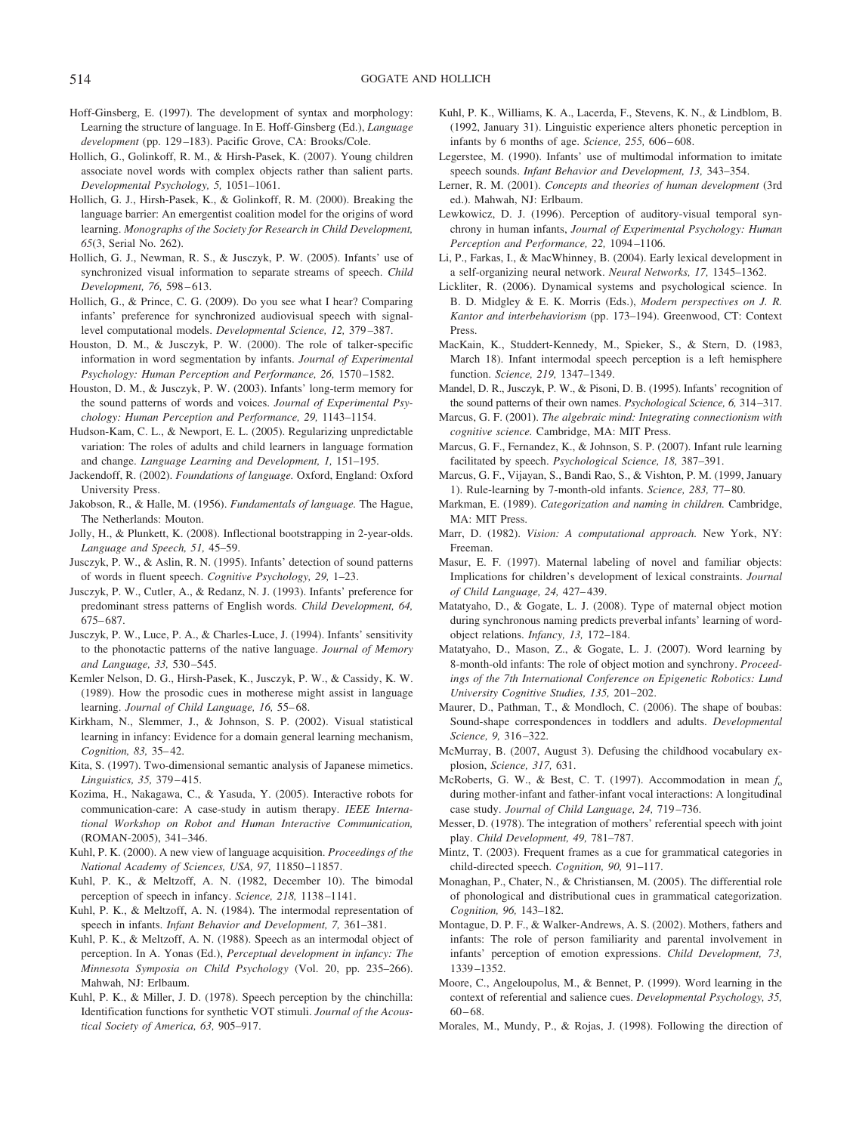- Hoff-Ginsberg, E. (1997). The development of syntax and morphology: Learning the structure of language. In E. Hoff-Ginsberg (Ed.), *Language development* (pp. 129 –183). Pacific Grove, CA: Brooks/Cole.
- Hollich, G., Golinkoff, R. M., & Hirsh-Pasek, K. (2007). Young children associate novel words with complex objects rather than salient parts. *Developmental Psychology, 5,* 1051–1061.
- Hollich, G. J., Hirsh-Pasek, K., & Golinkoff, R. M. (2000). Breaking the language barrier: An emergentist coalition model for the origins of word learning. *Monographs of the Society for Research in Child Development, 65*(3, Serial No. 262).
- Hollich, G. J., Newman, R. S., & Jusczyk, P. W. (2005). Infants' use of synchronized visual information to separate streams of speech. *Child Development, 76,* 598 – 613.
- Hollich, G., & Prince, C. G. (2009). Do you see what I hear? Comparing infants' preference for synchronized audiovisual speech with signallevel computational models. *Developmental Science, 12,* 379 –387.
- Houston, D. M., & Jusczyk, P. W. (2000). The role of talker-specific information in word segmentation by infants. *Journal of Experimental Psychology: Human Perception and Performance, 26,* 1570 –1582.
- Houston, D. M., & Jusczyk, P. W. (2003). Infants' long-term memory for the sound patterns of words and voices. *Journal of Experimental Psychology: Human Perception and Performance, 29,* 1143–1154.
- Hudson-Kam, C. L., & Newport, E. L. (2005). Regularizing unpredictable variation: The roles of adults and child learners in language formation and change. *Language Learning and Development, 1,* 151–195.
- Jackendoff, R. (2002). *Foundations of language.* Oxford, England: Oxford University Press.
- Jakobson, R., & Halle, M. (1956). *Fundamentals of language.* The Hague, The Netherlands: Mouton.
- Jolly, H., & Plunkett, K. (2008). Inflectional bootstrapping in 2-year-olds. *Language and Speech, 51,* 45–59.
- Jusczyk, P. W., & Aslin, R. N. (1995). Infants' detection of sound patterns of words in fluent speech. *Cognitive Psychology, 29,* 1–23.
- Jusczyk, P. W., Cutler, A., & Redanz, N. J. (1993). Infants' preference for predominant stress patterns of English words. *Child Development, 64,* 675– 687.
- Jusczyk, P. W., Luce, P. A., & Charles-Luce, J. (1994). Infants' sensitivity to the phonotactic patterns of the native language. *Journal of Memory and Language, 33,* 530 –545.
- Kemler Nelson, D. G., Hirsh-Pasek, K., Jusczyk, P. W., & Cassidy, K. W. (1989). How the prosodic cues in motherese might assist in language learning. *Journal of Child Language*, 16, 55-68.
- Kirkham, N., Slemmer, J., & Johnson, S. P. (2002). Visual statistical learning in infancy: Evidence for a domain general learning mechanism, *Cognition, 83,* 35– 42.
- Kita, S. (1997). Two-dimensional semantic analysis of Japanese mimetics. *Linguistics, 35,* 379 – 415.
- Kozima, H., Nakagawa, C., & Yasuda, Y. (2005). Interactive robots for communication-care: A case-study in autism therapy. *IEEE International Workshop on Robot and Human Interactive Communication,* (ROMAN-2005), 341–346.
- Kuhl, P. K. (2000). A new view of language acquisition. *Proceedings of the National Academy of Sciences, USA, 97,* 11850 –11857.
- Kuhl, P. K., & Meltzoff, A. N. (1982, December 10). The bimodal perception of speech in infancy. *Science, 218,* 1138 –1141.
- Kuhl, P. K., & Meltzoff, A. N. (1984). The intermodal representation of speech in infants. *Infant Behavior and Development, 7,* 361–381.
- Kuhl, P. K., & Meltzoff, A. N. (1988). Speech as an intermodal object of perception. In A. Yonas (Ed.), *Perceptual development in infancy: The Minnesota Symposia on Child Psychology* (Vol. 20, pp. 235–266). Mahwah, NJ: Erlbaum.
- Kuhl, P. K., & Miller, J. D. (1978). Speech perception by the chinchilla: Identification functions for synthetic VOT stimuli. *Journal of the Acoustical Society of America, 63,* 905–917.
- Kuhl, P. K., Williams, K. A., Lacerda, F., Stevens, K. N., & Lindblom, B. (1992, January 31). Linguistic experience alters phonetic perception in infants by 6 months of age. *Science, 255,* 606 – 608.
- Legerstee, M. (1990). Infants' use of multimodal information to imitate speech sounds. *Infant Behavior and Development, 13,* 343–354.
- Lerner, R. M. (2001). *Concepts and theories of human development* (3rd ed.). Mahwah, NJ: Erlbaum.
- Lewkowicz, D. J. (1996). Perception of auditory-visual temporal synchrony in human infants, *Journal of Experimental Psychology: Human Perception and Performance, 22,* 1094 –1106.
- Li, P., Farkas, I., & MacWhinney, B. (2004). Early lexical development in a self-organizing neural network. *Neural Networks, 17,* 1345–1362.
- Lickliter, R. (2006). Dynamical systems and psychological science. In B. D. Midgley & E. K. Morris (Eds.), *Modern perspectives on J. R. Kantor and interbehaviorism* (pp. 173–194). Greenwood, CT: Context Press.
- MacKain, K., Studdert-Kennedy, M., Spieker, S., & Stern, D. (1983, March 18). Infant intermodal speech perception is a left hemisphere function. *Science, 219,* 1347–1349.
- Mandel, D. R., Jusczyk, P. W., & Pisoni, D. B. (1995). Infants' recognition of the sound patterns of their own names. *Psychological Science, 6,* 314 –317.
- Marcus, G. F. (2001). *The algebraic mind: Integrating connectionism with cognitive science.* Cambridge, MA: MIT Press.
- Marcus, G. F., Fernandez, K., & Johnson, S. P. (2007). Infant rule learning facilitated by speech. *Psychological Science, 18,* 387–391.
- Marcus, G. F., Vijayan, S., Bandi Rao, S., & Vishton, P. M. (1999, January 1). Rule-learning by 7-month-old infants. *Science, 283,* 77– 80.
- Markman, E. (1989). *Categorization and naming in children.* Cambridge, MA: MIT Press.
- Marr, D. (1982). *Vision: A computational approach.* New York, NY: Freeman.
- Masur, E. F. (1997). Maternal labeling of novel and familiar objects: Implications for children's development of lexical constraints. *Journal of Child Language, 24,* 427– 439.
- Matatyaho, D., & Gogate, L. J. (2008). Type of maternal object motion during synchronous naming predicts preverbal infants' learning of wordobject relations. *Infancy, 13,* 172–184.
- Matatyaho, D., Mason, Z., & Gogate, L. J. (2007). Word learning by 8-month-old infants: The role of object motion and synchrony. *Proceedings of the 7th International Conference on Epigenetic Robotics: Lund University Cognitive Studies, 135,* 201–202.
- Maurer, D., Pathman, T., & Mondloch, C. (2006). The shape of boubas: Sound-shape correspondences in toddlers and adults. *Developmental Science, 9,* 316 –322.
- McMurray, B. (2007, August 3). Defusing the childhood vocabulary explosion, *Science, 317,* 631.
- McRoberts, G. W., & Best, C. T. (1997). Accommodation in mean  $f_0$ during mother-infant and father-infant vocal interactions: A longitudinal case study. *Journal of Child Language, 24,* 719 –736.
- Messer, D. (1978). The integration of mothers' referential speech with joint play. *Child Development, 49,* 781–787.
- Mintz, T. (2003). Frequent frames as a cue for grammatical categories in child-directed speech. *Cognition, 90,* 91–117.
- Monaghan, P., Chater, N., & Christiansen, M. (2005). The differential role of phonological and distributional cues in grammatical categorization. *Cognition, 96,* 143–182.
- Montague, D. P. F., & Walker-Andrews, A. S. (2002). Mothers, fathers and infants: The role of person familiarity and parental involvement in infants' perception of emotion expressions. *Child Development, 73,* 1339 –1352.
- Moore, C., Angeloupolus, M., & Bennet, P. (1999). Word learning in the context of referential and salience cues. *Developmental Psychology, 35,*  $60 - 68$ .
- Morales, M., Mundy, P., & Rojas, J. (1998). Following the direction of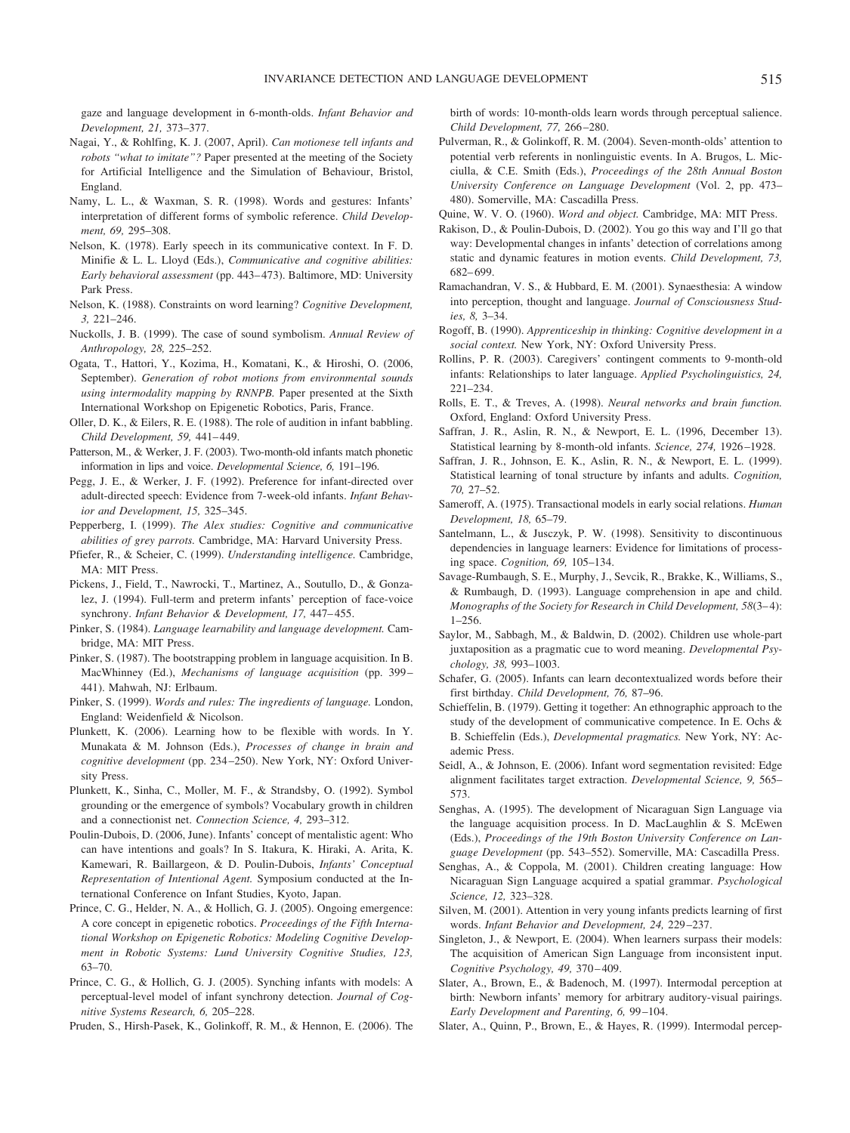gaze and language development in 6-month-olds. *Infant Behavior and Development, 21,* 373–377.

- Nagai, Y., & Rohlfing, K. J. (2007, April). *Can motionese tell infants and robots "what to imitate"?* Paper presented at the meeting of the Society for Artificial Intelligence and the Simulation of Behaviour, Bristol, England.
- Namy, L. L., & Waxman, S. R. (1998). Words and gestures: Infants' interpretation of different forms of symbolic reference. *Child Development, 69,* 295–308.
- Nelson, K. (1978). Early speech in its communicative context. In F. D. Minifie & L. L. Lloyd (Eds.), *Communicative and cognitive abilities: Early behavioral assessment* (pp. 443– 473). Baltimore, MD: University Park Press.
- Nelson, K. (1988). Constraints on word learning? *Cognitive Development, 3,* 221–246.
- Nuckolls, J. B. (1999). The case of sound symbolism. *Annual Review of Anthropology, 28,* 225–252.
- Ogata, T., Hattori, Y., Kozima, H., Komatani, K., & Hiroshi, O. (2006, September). *Generation of robot motions from environmental sounds using intermodality mapping by RNNPB.* Paper presented at the Sixth International Workshop on Epigenetic Robotics, Paris, France.
- Oller, D. K., & Eilers, R. E. (1988). The role of audition in infant babbling. *Child Development, 59,* 441– 449.
- Patterson, M., & Werker, J. F. (2003). Two-month-old infants match phonetic information in lips and voice. *Developmental Science, 6,* 191–196.
- Pegg, J. E., & Werker, J. F. (1992). Preference for infant-directed over adult-directed speech: Evidence from 7-week-old infants. *Infant Behavior and Development, 15,* 325–345.
- Pepperberg, I. (1999). *The Alex studies: Cognitive and communicative abilities of grey parrots.* Cambridge, MA: Harvard University Press.
- Pfiefer, R., & Scheier, C. (1999). *Understanding intelligence.* Cambridge, MA: MIT Press.
- Pickens, J., Field, T., Nawrocki, T., Martinez, A., Soutullo, D., & Gonzalez, J. (1994). Full-term and preterm infants' perception of face-voice synchrony. *Infant Behavior & Development, 17,* 447– 455.
- Pinker, S. (1984). *Language learnability and language development.* Cambridge, MA: MIT Press.
- Pinker, S. (1987). The bootstrapping problem in language acquisition. In B. MacWhinney (Ed.), *Mechanisms of language acquisition* (pp. 399 – 441). Mahwah, NJ: Erlbaum.
- Pinker, S. (1999). *Words and rules: The ingredients of language.* London, England: Weidenfield & Nicolson.
- Plunkett, K. (2006). Learning how to be flexible with words. In Y. Munakata & M. Johnson (Eds.), *Processes of change in brain and cognitive development* (pp. 234 –250). New York, NY: Oxford University Press.
- Plunkett, K., Sinha, C., Moller, M. F., & Strandsby, O. (1992). Symbol grounding or the emergence of symbols? Vocabulary growth in children and a connectionist net. *Connection Science, 4,* 293–312.
- Poulin-Dubois, D. (2006, June). Infants' concept of mentalistic agent: Who can have intentions and goals? In S. Itakura, K. Hiraki, A. Arita, K. Kamewari, R. Baillargeon, & D. Poulin-Dubois, *Infants' Conceptual Representation of Intentional Agent.* Symposium conducted at the International Conference on Infant Studies, Kyoto, Japan.
- Prince, C. G., Helder, N. A., & Hollich, G. J. (2005). Ongoing emergence: A core concept in epigenetic robotics. *Proceedings of the Fifth International Workshop on Epigenetic Robotics: Modeling Cognitive Development in Robotic Systems: Lund University Cognitive Studies, 123,* 63–70.
- Prince, C. G., & Hollich, G. J. (2005). Synching infants with models: A perceptual-level model of infant synchrony detection. *Journal of Cognitive Systems Research, 6,* 205–228.

Pruden, S., Hirsh-Pasek, K., Golinkoff, R. M., & Hennon, E. (2006). The

birth of words: 10-month-olds learn words through perceptual salience. *Child Development, 77,* 266 –280.

- Pulverman, R., & Golinkoff, R. M. (2004). Seven-month-olds' attention to potential verb referents in nonlinguistic events. In A. Brugos, L. Micciulla, & C.E. Smith (Eds.), *Proceedings of the 28th Annual Boston University Conference on Language Development* (Vol. 2, pp. 473– 480). Somerville, MA: Cascadilla Press.
- Quine, W. V. O. (1960). *Word and object.* Cambridge, MA: MIT Press.
- Rakison, D., & Poulin-Dubois, D. (2002). You go this way and I'll go that way: Developmental changes in infants' detection of correlations among static and dynamic features in motion events. *Child Development, 73,* 682– 699.
- Ramachandran, V. S., & Hubbard, E. M. (2001). Synaesthesia: A window into perception, thought and language. *Journal of Consciousness Studies, 8,* 3–34.
- Rogoff, B. (1990). *Apprenticeship in thinking: Cognitive development in a social context.* New York, NY: Oxford University Press.
- Rollins, P. R. (2003). Caregivers' contingent comments to 9-month-old infants: Relationships to later language. *Applied Psycholinguistics, 24,* 221–234.
- Rolls, E. T., & Treves, A. (1998). *Neural networks and brain function.* Oxford, England: Oxford University Press.
- Saffran, J. R., Aslin, R. N., & Newport, E. L. (1996, December 13). Statistical learning by 8-month-old infants. *Science, 274,* 1926 –1928.
- Saffran, J. R., Johnson, E. K., Aslin, R. N., & Newport, E. L. (1999). Statistical learning of tonal structure by infants and adults. *Cognition, 70,* 27–52.
- Sameroff, A. (1975). Transactional models in early social relations. *Human Development, 18,* 65–79.
- Santelmann, L., & Jusczyk, P. W. (1998). Sensitivity to discontinuous dependencies in language learners: Evidence for limitations of processing space. *Cognition, 69,* 105–134.
- Savage-Rumbaugh, S. E., Murphy, J., Sevcik, R., Brakke, K., Williams, S., & Rumbaugh, D. (1993). Language comprehension in ape and child. *Monographs of the Society for Research in Child Development, 58*(3– 4): 1–256.
- Saylor, M., Sabbagh, M., & Baldwin, D. (2002). Children use whole-part juxtaposition as a pragmatic cue to word meaning. *Developmental Psychology, 38,* 993–1003.
- Schafer, G. (2005). Infants can learn decontextualized words before their first birthday. *Child Development, 76,* 87–96.
- Schieffelin, B. (1979). Getting it together: An ethnographic approach to the study of the development of communicative competence. In E. Ochs & B. Schieffelin (Eds.), *Developmental pragmatics.* New York, NY: Academic Press.
- Seidl, A., & Johnson, E. (2006). Infant word segmentation revisited: Edge alignment facilitates target extraction. *Developmental Science, 9,* 565– 573.
- Senghas, A. (1995). The development of Nicaraguan Sign Language via the language acquisition process. In D. MacLaughlin & S. McEwen (Eds.), *Proceedings of the 19th Boston University Conference on Language Development* (pp. 543–552). Somerville, MA: Cascadilla Press.
- Senghas, A., & Coppola, M. (2001). Children creating language: How Nicaraguan Sign Language acquired a spatial grammar. *Psychological Science, 12,* 323–328.
- Silven, M. (2001). Attention in very young infants predicts learning of first words. *Infant Behavior and Development, 24,* 229 –237.
- Singleton, J., & Newport, E. (2004). When learners surpass their models: The acquisition of American Sign Language from inconsistent input. *Cognitive Psychology, 49,* 370 – 409.
- Slater, A., Brown, E., & Badenoch, M. (1997). Intermodal perception at birth: Newborn infants' memory for arbitrary auditory-visual pairings. *Early Development and Parenting, 6,* 99 –104.
- Slater, A., Quinn, P., Brown, E., & Hayes, R. (1999). Intermodal percep-